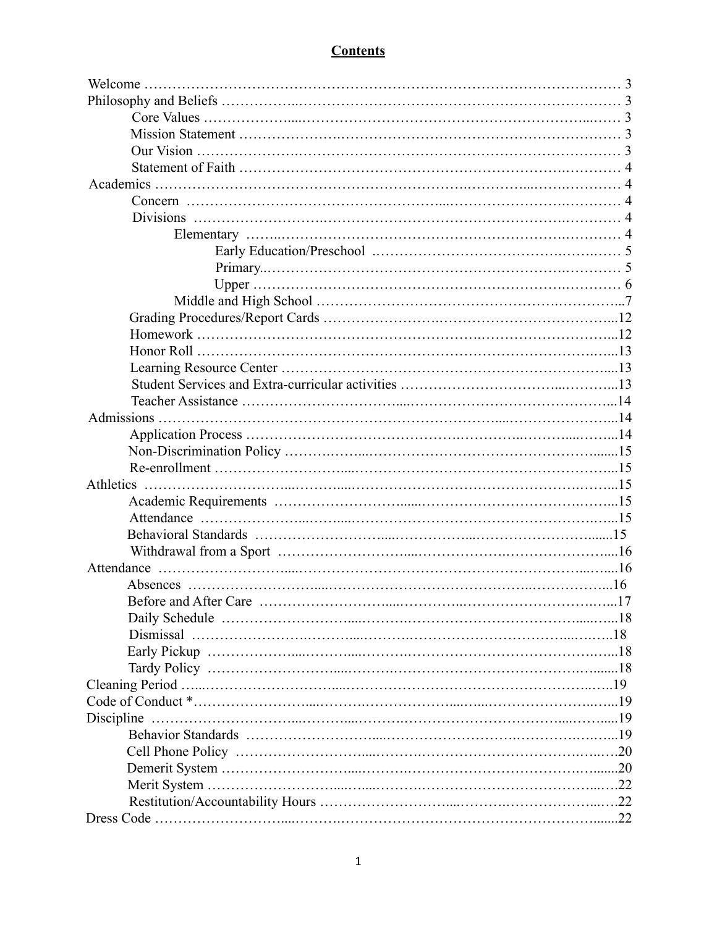## **Contents**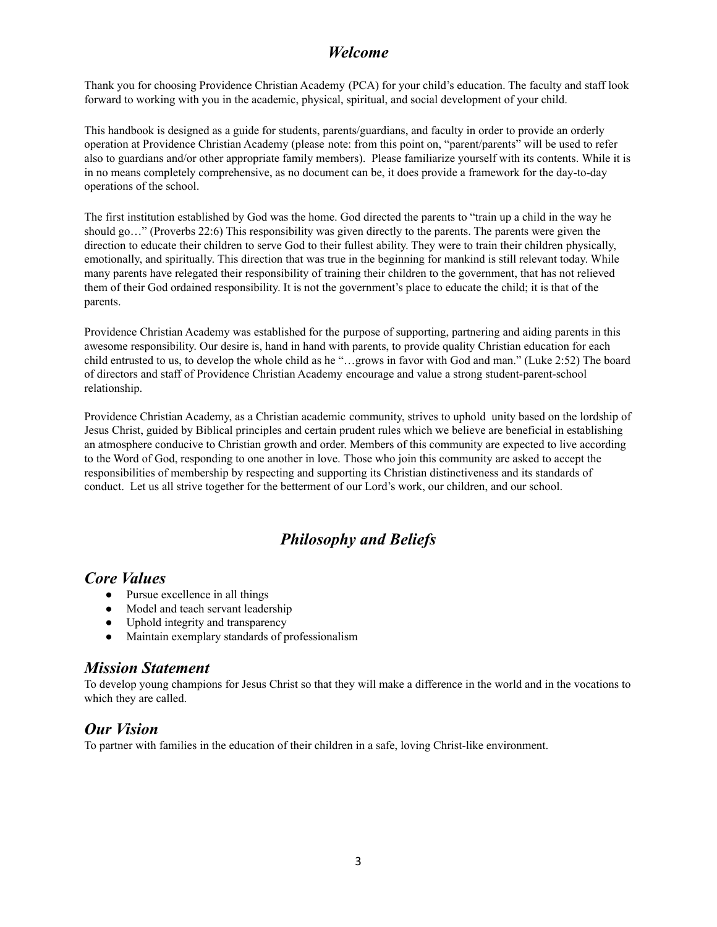### *Welcome*

Thank you for choosing Providence Christian Academy (PCA) for your child's education. The faculty and staff look forward to working with you in the academic, physical, spiritual, and social development of your child.

This handbook is designed as a guide for students, parents/guardians, and faculty in order to provide an orderly operation at Providence Christian Academy (please note: from this point on, "parent/parents" will be used to refer also to guardians and/or other appropriate family members). Please familiarize yourself with its contents. While it is in no means completely comprehensive, as no document can be, it does provide a framework for the day-to-day operations of the school.

The first institution established by God was the home. God directed the parents to "train up a child in the way he should go…" (Proverbs 22:6) This responsibility was given directly to the parents. The parents were given the direction to educate their children to serve God to their fullest ability. They were to train their children physically, emotionally, and spiritually. This direction that was true in the beginning for mankind is still relevant today. While many parents have relegated their responsibility of training their children to the government, that has not relieved them of their God ordained responsibility. It is not the government's place to educate the child; it is that of the parents.

Providence Christian Academy was established for the purpose of supporting, partnering and aiding parents in this awesome responsibility. Our desire is, hand in hand with parents, to provide quality Christian education for each child entrusted to us, to develop the whole child as he "…grows in favor with God and man." (Luke 2:52) The board of directors and staff of Providence Christian Academy encourage and value a strong student-parent-school relationship.

Providence Christian Academy, as a Christian academic community, strives to uphold unity based on the lordship of Jesus Christ, guided by Biblical principles and certain prudent rules which we believe are beneficial in establishing an atmosphere conducive to Christian growth and order. Members of this community are expected to live according to the Word of God, responding to one another in love. Those who join this community are asked to accept the responsibilities of membership by respecting and supporting its Christian distinctiveness and its standards of conduct. Let us all strive together for the betterment of our Lord's work, our children, and our school.

# *Philosophy and Beliefs*

### *Core Values*

- Pursue excellence in all things
- Model and teach servant leadership
- Uphold integrity and transparency
- Maintain exemplary standards of professionalism

### *Mission Statement*

To develop young champions for Jesus Christ so that they will make a difference in the world and in the vocations to which they are called.

# *Our Vision*

To partner with families in the education of their children in a safe, loving Christ-like environment.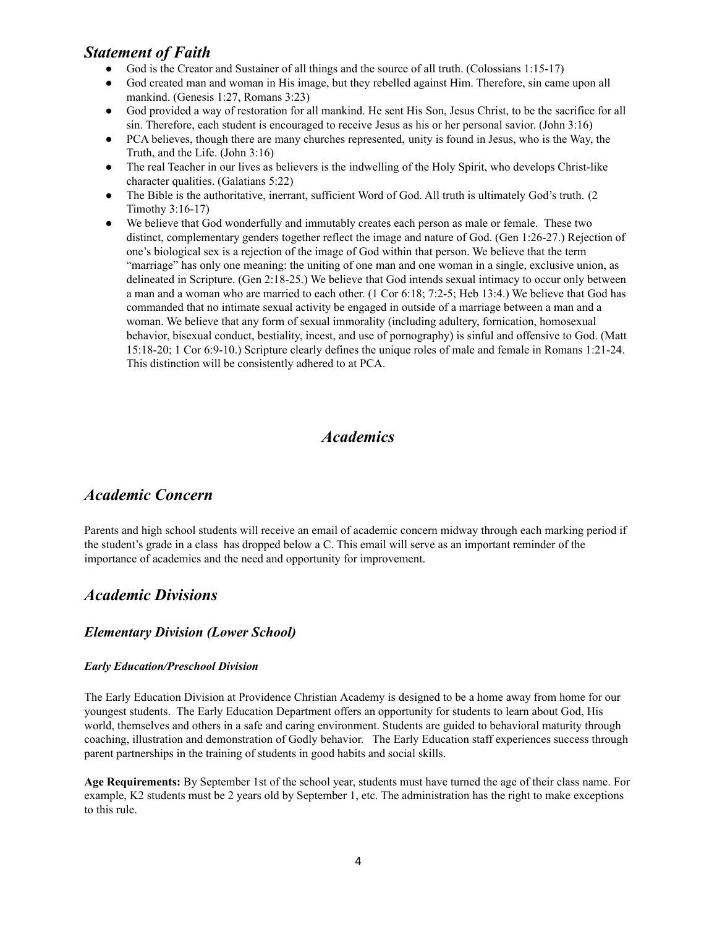# *Statement of Faith*

- God is the Creator and Sustainer of all things and the source of all truth. (Colossians 1:15-17)
- God created man and woman in His image, but they rebelled against Him. Therefore, sin came upon all mankind. (Genesis 1:27, Romans 3:23)
- God provided a way of restoration for all mankind. He sent His Son, Jesus Christ, to be the sacrifice for all sin. Therefore, each student is encouraged to receive Jesus as his or her personal savior. (John 3:16)
- PCA believes, though there are many churches represented, unity is found in Jesus, who is the Way, the Truth, and the Life. (John 3:16)
- The real Teacher in our lives as believers is the indwelling of the Holy Spirit, who develops Christ-like character qualities. (Galatians 5:22)
- The Bible is the authoritative, inerrant, sufficient Word of God. All truth is ultimately God's truth. (2) Timothy 3:16-17)
- We believe that God wonderfully and immutably creates each person as male or female. These two distinct, complementary genders together reflect the image and nature of God. (Gen 1:26-27.) Rejection of one's biological sex is a rejection of the image of God within that person. We believe that the term "marriage" has only one meaning: the uniting of one man and one woman in a single, exclusive union, as delineated in Scripture. (Gen 2:18-25.) We believe that God intends sexual intimacy to occur only between a man and a woman who are married to each other. (1 Cor 6:18; 7:2-5; Heb 13:4.) We believe that God has commanded that no intimate sexual activity be engaged in outside of a marriage between a man and a woman. We believe that any form of sexual immorality (including adultery, fornication, homosexual behavior, bisexual conduct, bestiality, incest, and use of pornography) is sinful and offensive to God. (Matt 15:18-20; 1 Cor 6:9-10.) Scripture clearly defines the unique roles of male and female in Romans 1:21-24. This distinction will be consistently adhered to at PCA.

### *Academics*

### *Academic Concern*

Parents and high school students will receive an email of academic concern midway through each marking period if the student's grade in a class has dropped below a C. This email will serve as an important reminder of the importance of academics and the need and opportunity for improvement.

### *Academic Divisions*

#### *Elementary Division (Lower School)*

#### *Early Education/Preschool Division*

The Early Education Division at Providence Christian Academy is designed to be a home away from home for our youngest students. The Early Education Department offers an opportunity for students to learn about God, His world, themselves and others in a safe and caring environment. Students are guided to behavioral maturity through coaching, illustration and demonstration of Godly behavior. The Early Education staff experiences success through parent partnerships in the training of students in good habits and social skills.

**Age Requirements:** By September 1st of the school year, students must have turned the age of their class name. For example, K2 students must be 2 years old by September 1, etc. The administration has the right to make exceptions to this rule.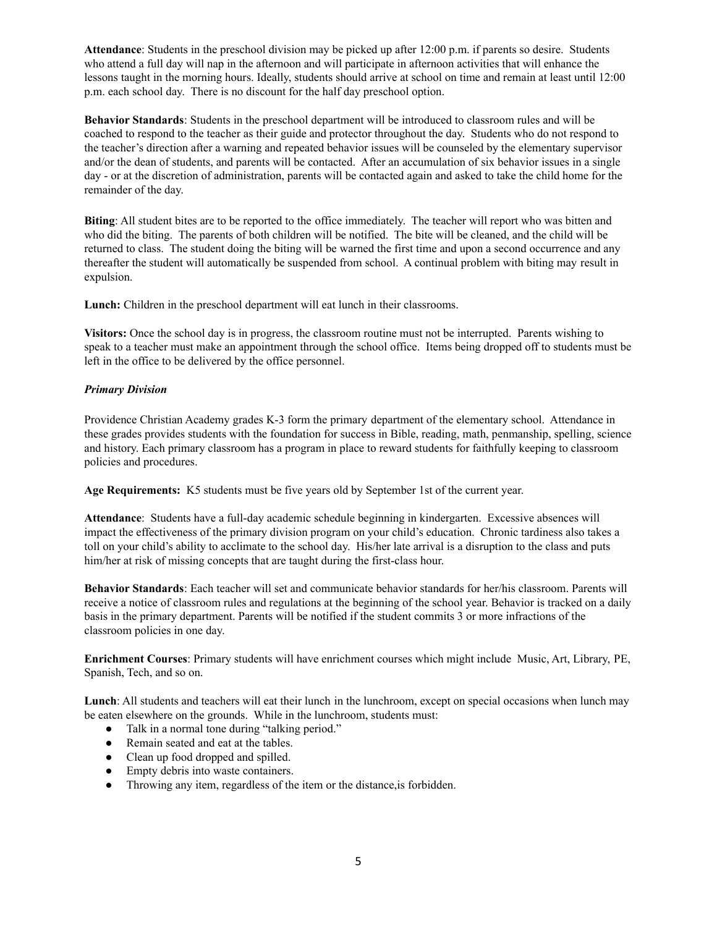**Attendance**: Students in the preschool division may be picked up after 12:00 p.m. if parents so desire. Students who attend a full day will nap in the afternoon and will participate in afternoon activities that will enhance the lessons taught in the morning hours. Ideally, students should arrive at school on time and remain at least until 12:00 p.m. each school day. There is no discount for the half day preschool option.

**Behavior Standards**: Students in the preschool department will be introduced to classroom rules and will be coached to respond to the teacher as their guide and protector throughout the day. Students who do not respond to the teacher's direction after a warning and repeated behavior issues will be counseled by the elementary supervisor and/or the dean of students, and parents will be contacted. After an accumulation of six behavior issues in a single day - or at the discretion of administration, parents will be contacted again and asked to take the child home for the remainder of the day.

**Biting**: All student bites are to be reported to the office immediately. The teacher will report who was bitten and who did the biting. The parents of both children will be notified. The bite will be cleaned, and the child will be returned to class. The student doing the biting will be warned the first time and upon a second occurrence and any thereafter the student will automatically be suspended from school. A continual problem with biting may result in expulsion.

**Lunch:** Children in the preschool department will eat lunch in their classrooms.

**Visitors:** Once the school day is in progress, the classroom routine must not be interrupted. Parents wishing to speak to a teacher must make an appointment through the school office. Items being dropped off to students must be left in the office to be delivered by the office personnel.

#### *Primary Division*

Providence Christian Academy grades K-3 form the primary department of the elementary school. Attendance in these grades provides students with the foundation for success in Bible, reading, math, penmanship, spelling, science and history. Each primary classroom has a program in place to reward students for faithfully keeping to classroom policies and procedures.

**Age Requirements:** K5 students must be five years old by September 1st of the current year.

**Attendance**: Students have a full-day academic schedule beginning in kindergarten. Excessive absences will impact the effectiveness of the primary division program on your child's education. Chronic tardiness also takes a toll on your child's ability to acclimate to the school day. His/her late arrival is a disruption to the class and puts him/her at risk of missing concepts that are taught during the first-class hour.

**Behavior Standards**: Each teacher will set and communicate behavior standards for her/his classroom. Parents will receive a notice of classroom rules and regulations at the beginning of the school year. Behavior is tracked on a daily basis in the primary department. Parents will be notified if the student commits 3 or more infractions of the classroom policies in one day.

**Enrichment Courses**: Primary students will have enrichment courses which might include Music, Art, Library, PE, Spanish, Tech, and so on.

**Lunch**: All students and teachers will eat their lunch in the lunchroom, except on special occasions when lunch may be eaten elsewhere on the grounds. While in the lunchroom, students must:

- Talk in a normal tone during "talking period."
- Remain seated and eat at the tables.
- Clean up food dropped and spilled.
- Empty debris into waste containers.
- Throwing any item, regardless of the item or the distance,is forbidden.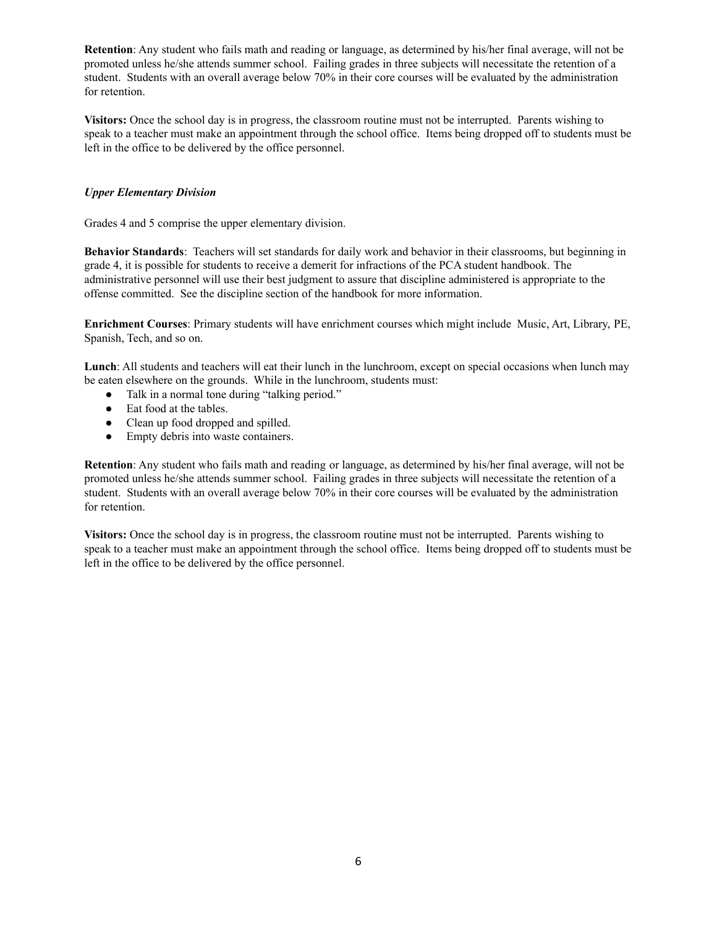**Retention**: Any student who fails math and reading or language, as determined by his/her final average, will not be promoted unless he/she attends summer school. Failing grades in three subjects will necessitate the retention of a student. Students with an overall average below 70% in their core courses will be evaluated by the administration for retention.

**Visitors:** Once the school day is in progress, the classroom routine must not be interrupted. Parents wishing to speak to a teacher must make an appointment through the school office. Items being dropped off to students must be left in the office to be delivered by the office personnel.

#### *Upper Elementary Division*

Grades 4 and 5 comprise the upper elementary division.

**Behavior Standards**: Teachers will set standards for daily work and behavior in their classrooms, but beginning in grade 4, it is possible for students to receive a demerit for infractions of the PCA student handbook. The administrative personnel will use their best judgment to assure that discipline administered is appropriate to the offense committed. See the discipline section of the handbook for more information.

**Enrichment Courses**: Primary students will have enrichment courses which might include Music, Art, Library, PE, Spanish, Tech, and so on.

**Lunch**: All students and teachers will eat their lunch in the lunchroom, except on special occasions when lunch may be eaten elsewhere on the grounds. While in the lunchroom, students must:

- Talk in a normal tone during "talking period."
- Eat food at the tables.
- Clean up food dropped and spilled.
- Empty debris into waste containers.

**Retention**: Any student who fails math and reading or language, as determined by his/her final average, will not be promoted unless he/she attends summer school. Failing grades in three subjects will necessitate the retention of a student. Students with an overall average below 70% in their core courses will be evaluated by the administration for retention.

**Visitors:** Once the school day is in progress, the classroom routine must not be interrupted. Parents wishing to speak to a teacher must make an appointment through the school office. Items being dropped off to students must be left in the office to be delivered by the office personnel.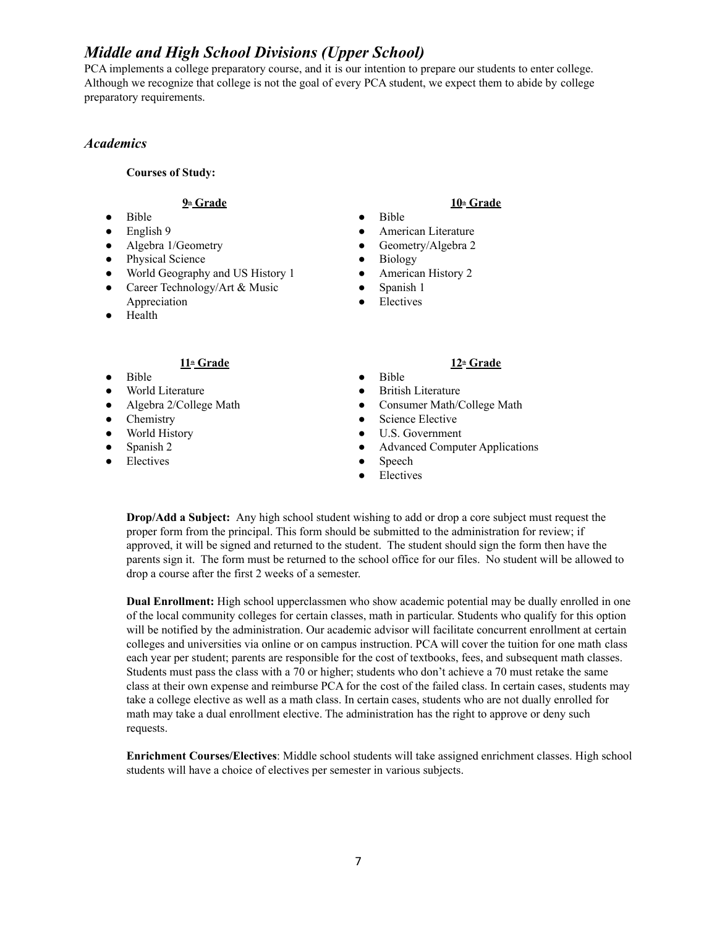# *Middle and High School Divisions (Upper School)*

PCA implements a college preparatory course, and it is our intention to prepare our students to enter college. Although we recognize that college is not the goal of every PCA student, we expect them to abide by college preparatory requirements.

#### *Academics*

#### **Courses of Study:**

#### **9th Grade**

- Bible
- English 9
- Algebra 1/Geometry
- Physical Science
- World Geography and US History 1
- Career Technology/Art & Music Appreciation
- Health

### **10th Grade**

- Bible
- American Literature
- Geometry/Algebra 2
- Biology
- American History 2
- Spanish 1
- Electives

#### **11th Grade**

- Bible
- World Literature
- Algebra 2/College Math
- Chemistry
- World History
- Spanish 2
- Electives

# **12th Grade**

- Bible ● British Literature
- Consumer Math/College Math
- Science Elective
- U.S. Government
- Advanced Computer Applications
- Speech
- Electives

**Drop/Add a Subject:** Any high school student wishing to add or drop a core subject must request the proper form from the principal. This form should be submitted to the administration for review; if approved, it will be signed and returned to the student. The student should sign the form then have the parents sign it. The form must be returned to the school office for our files. No student will be allowed to drop a course after the first 2 weeks of a semester.

**Dual Enrollment:** High school upperclassmen who show academic potential may be dually enrolled in one of the local community colleges for certain classes, math in particular. Students who qualify for this option will be notified by the administration. Our academic advisor will facilitate concurrent enrollment at certain colleges and universities via online or on campus instruction. PCA will cover the tuition for one math class each year per student; parents are responsible for the cost of textbooks, fees, and subsequent math classes. Students must pass the class with a 70 or higher; students who don't achieve a 70 must retake the same class at their own expense and reimburse PCA for the cost of the failed class. In certain cases, students may take a college elective as well as a math class. In certain cases, students who are not dually enrolled for math may take a dual enrollment elective. The administration has the right to approve or deny such requests.

**Enrichment Courses/Electives**: Middle school students will take assigned enrichment classes. High school students will have a choice of electives per semester in various subjects.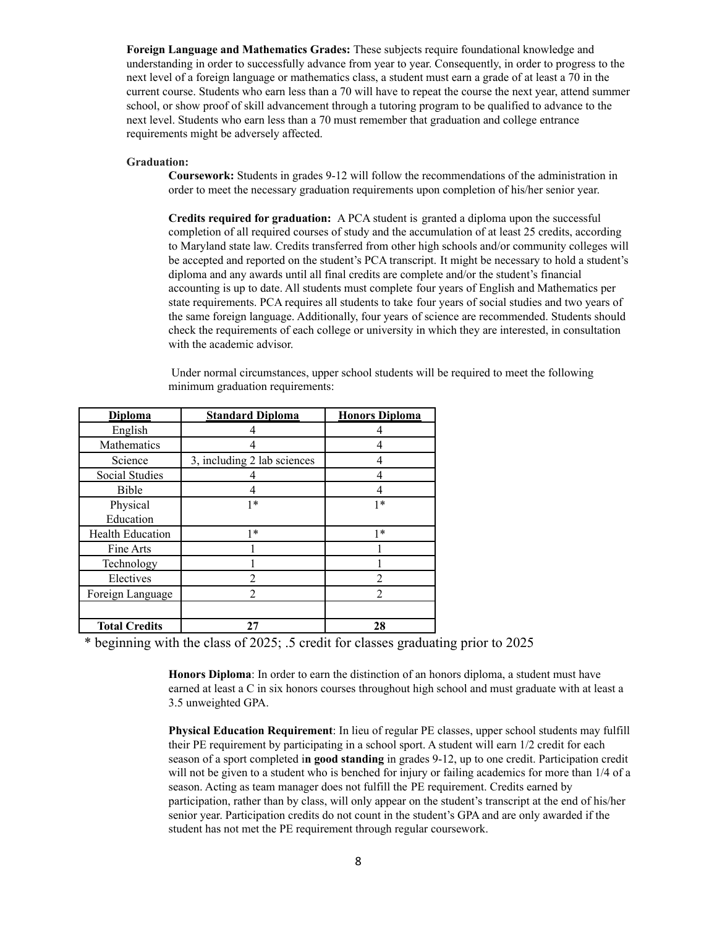**Foreign Language and Mathematics Grades:** These subjects require foundational knowledge and understanding in order to successfully advance from year to year. Consequently, in order to progress to the next level of a foreign language or mathematics class, a student must earn a grade of at least a 70 in the current course. Students who earn less than a 70 will have to repeat the course the next year, attend summer school, or show proof of skill advancement through a tutoring program to be qualified to advance to the next level. Students who earn less than a 70 must remember that graduation and college entrance requirements might be adversely affected.

#### **Graduation:**

**Coursework:** Students in grades 9-12 will follow the recommendations of the administration in order to meet the necessary graduation requirements upon completion of his/her senior year.

**Credits required for graduation:** A PCA student is granted a diploma upon the successful completion of all required courses of study and the accumulation of at least 25 credits, according to Maryland state law. Credits transferred from other high schools and/or community colleges will be accepted and reported on the student's PCA transcript. It might be necessary to hold a student's diploma and any awards until all final credits are complete and/or the student's financial accounting is up to date. All students must complete four years of English and Mathematics per state requirements. PCA requires all students to take four years of social studies and two years of the same foreign language. Additionally, four years of science are recommended. Students should check the requirements of each college or university in which they are interested, in consultation with the academic advisor.

| Under normal circumstances, upper school students will be required to meet the following |  |  |
|------------------------------------------------------------------------------------------|--|--|
| minimum graduation requirements:                                                         |  |  |

| <b>Diploma</b>          | <b>Standard Diploma</b>     | <b>Honors Diploma</b> |  |
|-------------------------|-----------------------------|-----------------------|--|
| English                 |                             |                       |  |
| Mathematics             |                             |                       |  |
| Science                 | 3, including 2 lab sciences |                       |  |
| Social Studies          |                             |                       |  |
| Bible                   | 4                           |                       |  |
| Physical                | $1*$                        | 1*                    |  |
| Education               |                             |                       |  |
| <b>Health Education</b> | $1*$                        | $1*$                  |  |
| Fine Arts               |                             |                       |  |
| Technology              |                             |                       |  |
| Electives               | $\mathfrak{D}$              | 2                     |  |
| Foreign Language        | $\overline{2}$              | $\overline{c}$        |  |
|                         |                             |                       |  |
| <b>Total Credits</b>    | 27                          | 28                    |  |

\* beginning with the class of 2025; .5 credit for classes graduating prior to 2025

**Honors Diploma**: In order to earn the distinction of an honors diploma, a student must have earned at least a C in six honors courses throughout high school and must graduate with at least a 3.5 unweighted GPA.

**Physical Education Requirement**: In lieu of regular PE classes, upper school students may fulfill their PE requirement by participating in a school sport. A student will earn 1/2 credit for each season of a sport completed i**n good standing** in grades 9-12, up to one credit. Participation credit will not be given to a student who is benched for injury or failing academics for more than  $1/4$  of a season. Acting as team manager does not fulfill the PE requirement. Credits earned by participation, rather than by class, will only appear on the student's transcript at the end of his/her senior year. Participation credits do not count in the student's GPA and are only awarded if the student has not met the PE requirement through regular coursework.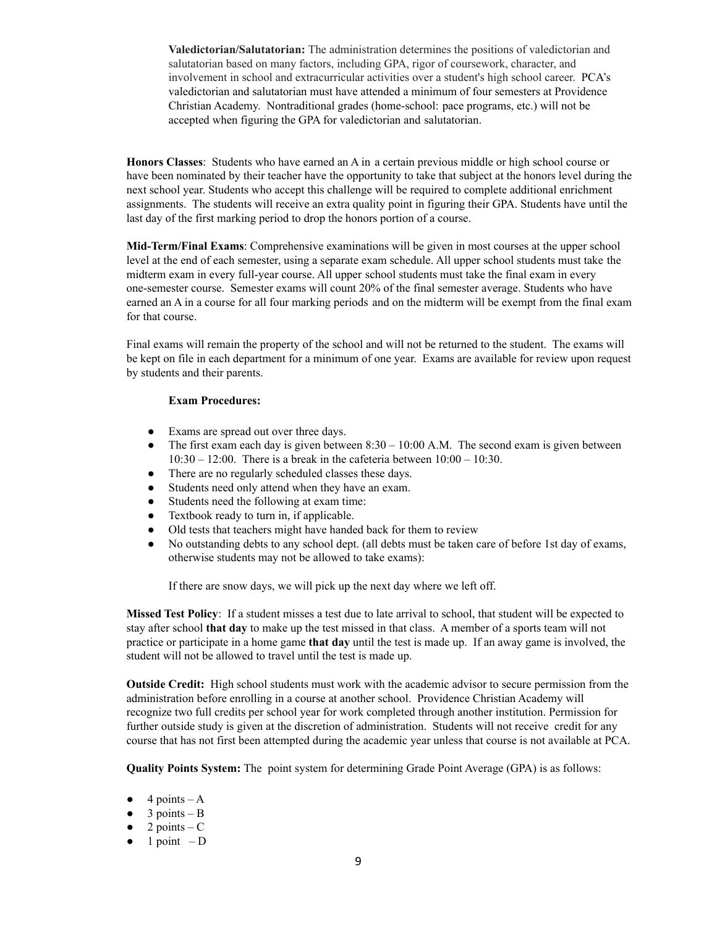**Valedictorian/Salutatorian:** The administration determines the positions of valedictorian and salutatorian based on many factors, including GPA, rigor of coursework, character, and involvement in school and extracurricular activities over a student's high school career. PCA's valedictorian and salutatorian must have attended a minimum of four semesters at Providence Christian Academy. Nontraditional grades (home-school: pace programs, etc.) will not be accepted when figuring the GPA for valedictorian and salutatorian.

**Honors Classes**: Students who have earned an A in a certain previous middle or high school course or have been nominated by their teacher have the opportunity to take that subject at the honors level during the next school year. Students who accept this challenge will be required to complete additional enrichment assignments. The students will receive an extra quality point in figuring their GPA. Students have until the last day of the first marking period to drop the honors portion of a course.

**Mid-Term/Final Exams**: Comprehensive examinations will be given in most courses at the upper school level at the end of each semester, using a separate exam schedule. All upper school students must take the midterm exam in every full-year course. All upper school students must take the final exam in every one-semester course. Semester exams will count 20% of the final semester average. Students who have earned an A in a course for all four marking periods and on the midterm will be exempt from the final exam for that course.

Final exams will remain the property of the school and will not be returned to the student. The exams will be kept on file in each department for a minimum of one year. Exams are available for review upon request by students and their parents.

#### **Exam Procedures:**

- Exams are spread out over three days.
- The first exam each day is given between  $8:30 10:00$  A.M. The second exam is given between  $10:30 - 12:00$ . There is a break in the cafeteria between  $10:00 - 10:30$ .
- There are no regularly scheduled classes these days.
- Students need only attend when they have an exam.
- Students need the following at exam time:
- Textbook ready to turn in, if applicable.
- Old tests that teachers might have handed back for them to review
- No outstanding debts to any school dept. (all debts must be taken care of before 1st day of exams, otherwise students may not be allowed to take exams):

If there are snow days, we will pick up the next day where we left off.

**Missed Test Policy**: If a student misses a test due to late arrival to school, that student will be expected to stay after school **that day** to make up the test missed in that class. A member of a sports team will not practice or participate in a home game **that day** until the test is made up. If an away game is involved, the student will not be allowed to travel until the test is made up.

**Outside Credit:** High school students must work with the academic advisor to secure permission from the administration before enrolling in a course at another school. Providence Christian Academy will recognize two full credits per school year for work completed through another institution. Permission for further outside study is given at the discretion of administration. Students will not receive credit for any course that has not first been attempted during the academic year unless that course is not available at PCA.

**Quality Points System:** The point system for determining Grade Point Average (GPA) is as follows:

- $\bullet$  4 points A
- $\bullet$  3 points B
- $\bullet$  2 points C
- $\bullet$  1 point D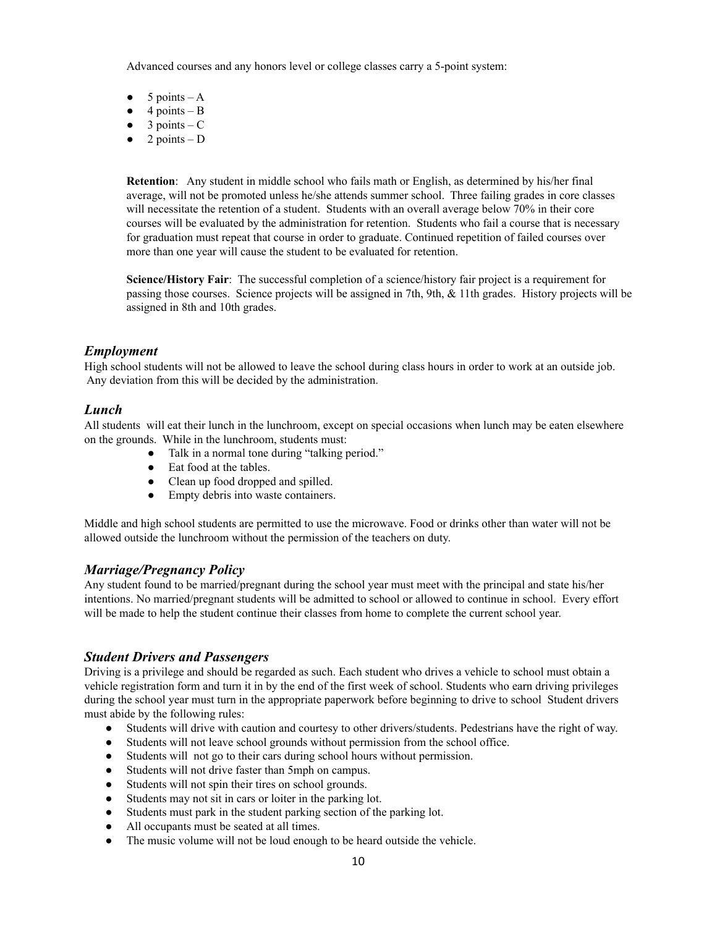Advanced courses and any honors level or college classes carry a 5-point system:

- $\bullet$  5 points A
- $\bullet$  4 points B
- $\bullet$  3 points C
- $\bullet$  2 points D

**Retention**: Any student in middle school who fails math or English, as determined by his/her final average, will not be promoted unless he/she attends summer school. Three failing grades in core classes will necessitate the retention of a student. Students with an overall average below 70% in their core courses will be evaluated by the administration for retention. Students who fail a course that is necessary for graduation must repeat that course in order to graduate. Continued repetition of failed courses over more than one year will cause the student to be evaluated for retention.

**Science/History Fair**: The successful completion of a science/history fair project is a requirement for passing those courses. Science projects will be assigned in 7th, 9th, & 11th grades. History projects will be assigned in 8th and 10th grades.

#### *Employment*

High school students will not be allowed to leave the school during class hours in order to work at an outside job. Any deviation from this will be decided by the administration.

#### *Lunch*

All students will eat their lunch in the lunchroom, except on special occasions when lunch may be eaten elsewhere on the grounds. While in the lunchroom, students must:

- Talk in a normal tone during "talking period."
- Eat food at the tables.
- Clean up food dropped and spilled.
- Empty debris into waste containers.

Middle and high school students are permitted to use the microwave. Food or drinks other than water will not be allowed outside the lunchroom without the permission of the teachers on duty.

#### *Marriage/Pregnancy Policy*

Any student found to be married/pregnant during the school year must meet with the principal and state his/her intentions. No married/pregnant students will be admitted to school or allowed to continue in school. Every effort will be made to help the student continue their classes from home to complete the current school year.

#### *Student Drivers and Passengers*

Driving is a privilege and should be regarded as such. Each student who drives a vehicle to school must obtain a vehicle registration form and turn it in by the end of the first week of school. Students who earn driving privileges during the school year must turn in the appropriate paperwork before beginning to drive to school Student drivers must abide by the following rules:

- Students will drive with caution and courtesy to other drivers/students. Pedestrians have the right of way.
- Students will not leave school grounds without permission from the school office.
- Students will not go to their cars during school hours without permission.
- Students will not drive faster than 5mph on campus.
- Students will not spin their tires on school grounds.
- Students may not sit in cars or loiter in the parking lot.
- Students must park in the student parking section of the parking lot.
- All occupants must be seated at all times.
- The music volume will not be loud enough to be heard outside the vehicle.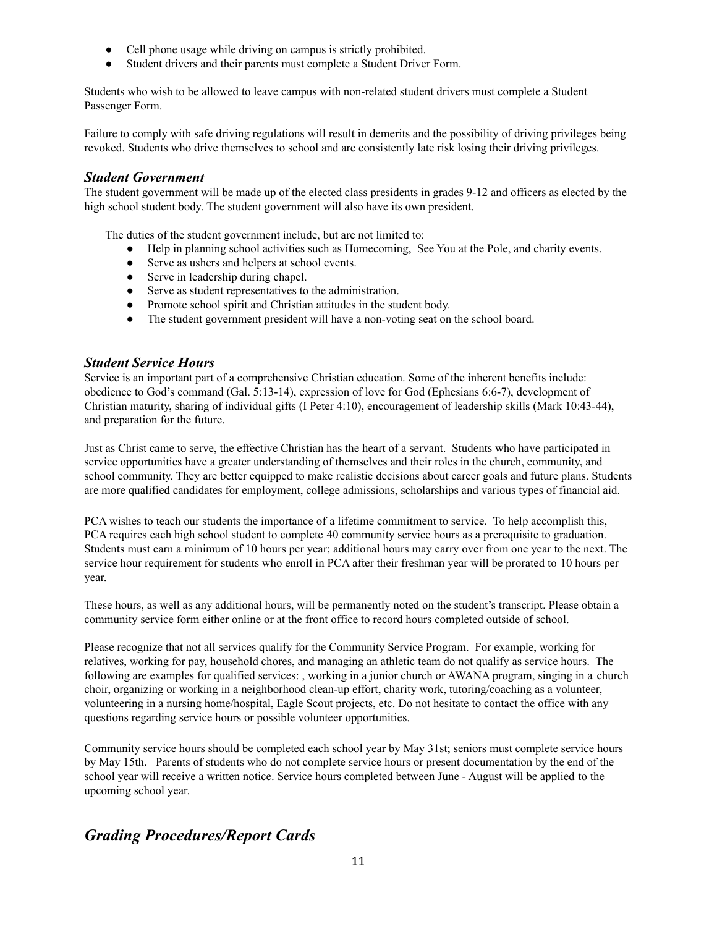- Cell phone usage while driving on campus is strictly prohibited.
- Student drivers and their parents must complete a Student Driver Form.

Students who wish to be allowed to leave campus with non-related student drivers must complete a Student Passenger Form.

Failure to comply with safe driving regulations will result in demerits and the possibility of driving privileges being revoked. Students who drive themselves to school and are consistently late risk losing their driving privileges.

#### *Student Government*

The student government will be made up of the elected class presidents in grades 9-12 and officers as elected by the high school student body. The student government will also have its own president.

The duties of the student government include, but are not limited to:

- Help in planning school activities such as Homecoming, See You at the Pole, and charity events.
- Serve as ushers and helpers at school events.
- Serve in leadership during chapel.
- Serve as student representatives to the administration.
- Promote school spirit and Christian attitudes in the student body.
- The student government president will have a non-voting seat on the school board.

#### *Student Service Hours*

Service is an important part of a comprehensive Christian education. Some of the inherent benefits include: obedience to God's command (Gal. 5:13-14), expression of love for God (Ephesians 6:6-7), development of Christian maturity, sharing of individual gifts (I Peter 4:10), encouragement of leadership skills (Mark 10:43-44), and preparation for the future.

Just as Christ came to serve, the effective Christian has the heart of a servant. Students who have participated in service opportunities have a greater understanding of themselves and their roles in the church, community, and school community. They are better equipped to make realistic decisions about career goals and future plans. Students are more qualified candidates for employment, college admissions, scholarships and various types of financial aid.

PCA wishes to teach our students the importance of a lifetime commitment to service. To help accomplish this, PCA requires each high school student to complete 40 community service hours as a prerequisite to graduation. Students must earn a minimum of 10 hours per year; additional hours may carry over from one year to the next. The service hour requirement for students who enroll in PCA after their freshman year will be prorated to 10 hours per year.

These hours, as well as any additional hours, will be permanently noted on the student's transcript. Please obtain a community service form either online or at the front office to record hours completed outside of school.

Please recognize that not all services qualify for the Community Service Program. For example, working for relatives, working for pay, household chores, and managing an athletic team do not qualify as service hours. The following are examples for qualified services: , working in a junior church or AWANA program, singing in a church choir, organizing or working in a neighborhood clean-up effort, charity work, tutoring/coaching as a volunteer, volunteering in a nursing home/hospital, Eagle Scout projects, etc. Do not hesitate to contact the office with any questions regarding service hours or possible volunteer opportunities.

Community service hours should be completed each school year by May 31st; seniors must complete service hours by May 15th. Parents of students who do not complete service hours or present documentation by the end of the school year will receive a written notice. Service hours completed between June - August will be applied to the upcoming school year.

# *Grading Procedures/Report Cards*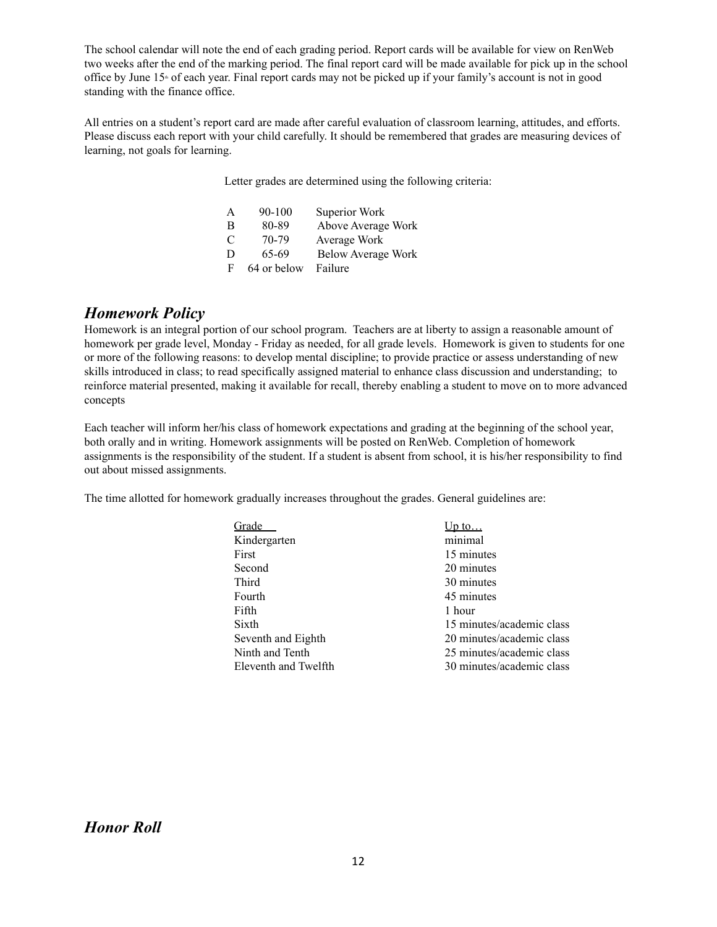The school calendar will note the end of each grading period. Report cards will be available for view on RenWeb two weeks after the end of the marking period. The final report card will be made available for pick up in the school office by June  $15<sup>*</sup>$  of each year. Final report cards may not be picked up if your family's account is not in good standing with the finance office.

All entries on a student's report card are made after careful evaluation of classroom learning, attitudes, and efforts. Please discuss each report with your child carefully. It should be remembered that grades are measuring devices of learning, not goals for learning.

Letter grades are determined using the following criteria:

| A | $90 - 100$  | Superior Work             |
|---|-------------|---------------------------|
| B | 80-89       | Above Average Work        |
| C | 70-79       | Average Work              |
| D | 65-69       | <b>Below Average Work</b> |
| F | 64 or below | Failure                   |

### *Homework Policy*

Homework is an integral portion of our school program. Teachers are at liberty to assign a reasonable amount of homework per grade level, Monday - Friday as needed, for all grade levels. Homework is given to students for one or more of the following reasons: to develop mental discipline; to provide practice or assess understanding of new skills introduced in class; to read specifically assigned material to enhance class discussion and understanding; to reinforce material presented, making it available for recall, thereby enabling a student to move on to more advanced concepts

Each teacher will inform her/his class of homework expectations and grading at the beginning of the school year, both orally and in writing. Homework assignments will be posted on RenWeb. Completion of homework assignments is the responsibility of the student. If a student is absent from school, it is his/her responsibility to find out about missed assignments.

The time allotted for homework gradually increases throughout the grades. General guidelines are:

| Grade                | $\mathsf{b}$ to           |
|----------------------|---------------------------|
| Kindergarten         | minimal                   |
| First                | 15 minutes                |
| Second               | 20 minutes                |
| Third                | 30 minutes                |
| Fourth               | 45 minutes                |
| Fifth                | 1 hour                    |
| Sixth                | 15 minutes/academic class |
| Seventh and Eighth   | 20 minutes/academic class |
| Ninth and Tenth      | 25 minutes/academic class |
| Eleventh and Twelfth | 30 minutes/academic class |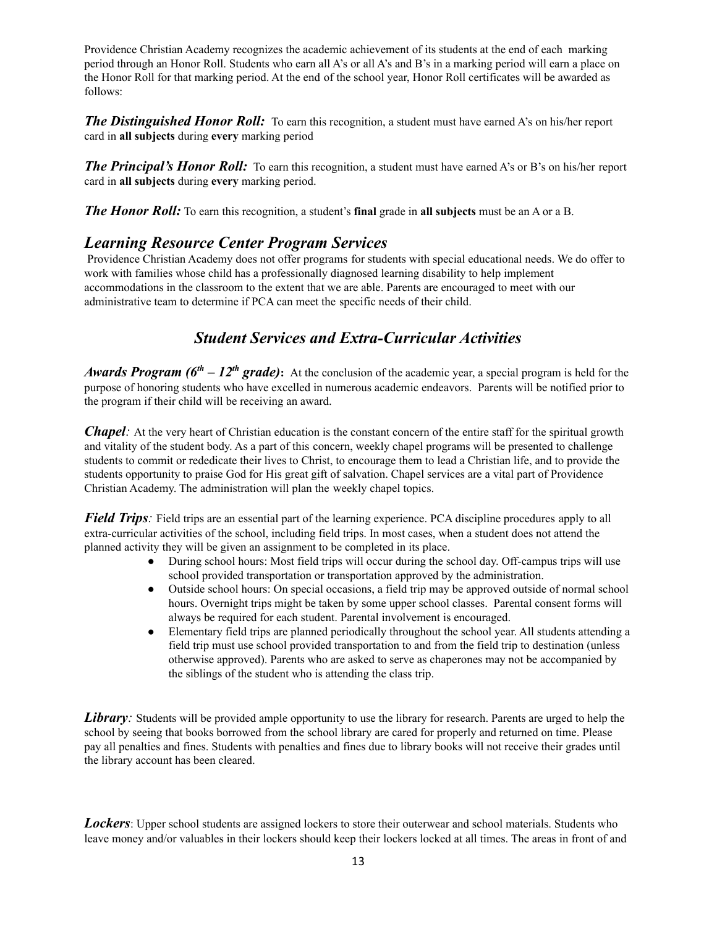Providence Christian Academy recognizes the academic achievement of its students at the end of each marking period through an Honor Roll. Students who earn all A's or all A's and B's in a marking period will earn a place on the Honor Roll for that marking period. At the end of the school year, Honor Roll certificates will be awarded as follows:

*The Distinguished Honor Roll:* To earn this recognition, a student must have earned A's on his/her report card in **all subjects** during **every** marking period

*The Principal's Honor Roll:* To earn this recognition, a student must have earned A's or B's on his/her report card in **all subjects** during **every** marking period.

*The Honor Roll:* To earn this recognition, a student's **final** grade in **all subjects** must be an A or a B.

## *Learning Resource Center Program Services*

Providence Christian Academy does not offer programs for students with special educational needs. We do offer to work with families whose child has a professionally diagnosed learning disability to help implement accommodations in the classroom to the extent that we are able. Parents are encouraged to meet with our administrative team to determine if PCA can meet the specific needs of their child.

# *Student Services and Extra-Curricular Activities*

*Awards Program (6<sup>th</sup> – 12<sup>th</sup> grade)*: At the conclusion of the academic year, a special program is held for the purpose of honoring students who have excelled in numerous academic endeavors. Parents will be notified prior to the program if their child will be receiving an award.

*Chapel*: At the very heart of Christian education is the constant concern of the entire staff for the spiritual growth and vitality of the student body. As a part of this concern, weekly chapel programs will be presented to challenge students to commit or rededicate their lives to Christ, to encourage them to lead a Christian life, and to provide the students opportunity to praise God for His great gift of salvation. Chapel services are a vital part of Providence Christian Academy. The administration will plan the weekly chapel topics.

*Field Trips*: Field trips are an essential part of the learning experience. PCA discipline procedures apply to all extra-curricular activities of the school, including field trips. In most cases, when a student does not attend the planned activity they will be given an assignment to be completed in its place.

- During school hours: Most field trips will occur during the school day. Off-campus trips will use school provided transportation or transportation approved by the administration.
- Outside school hours: On special occasions, a field trip may be approved outside of normal school hours. Overnight trips might be taken by some upper school classes. Parental consent forms will always be required for each student. Parental involvement is encouraged.
- Elementary field trips are planned periodically throughout the school year. All students attending a field trip must use school provided transportation to and from the field trip to destination (unless otherwise approved). Parents who are asked to serve as chaperones may not be accompanied by the siblings of the student who is attending the class trip.

*Library:* Students will be provided ample opportunity to use the library for research. Parents are urged to help the school by seeing that books borrowed from the school library are cared for properly and returned on time. Please pay all penalties and fines. Students with penalties and fines due to library books will not receive their grades until the library account has been cleared.

*Lockers*: Upper school students are assigned lockers to store their outerwear and school materials. Students who leave money and/or valuables in their lockers should keep their lockers locked at all times. The areas in front of and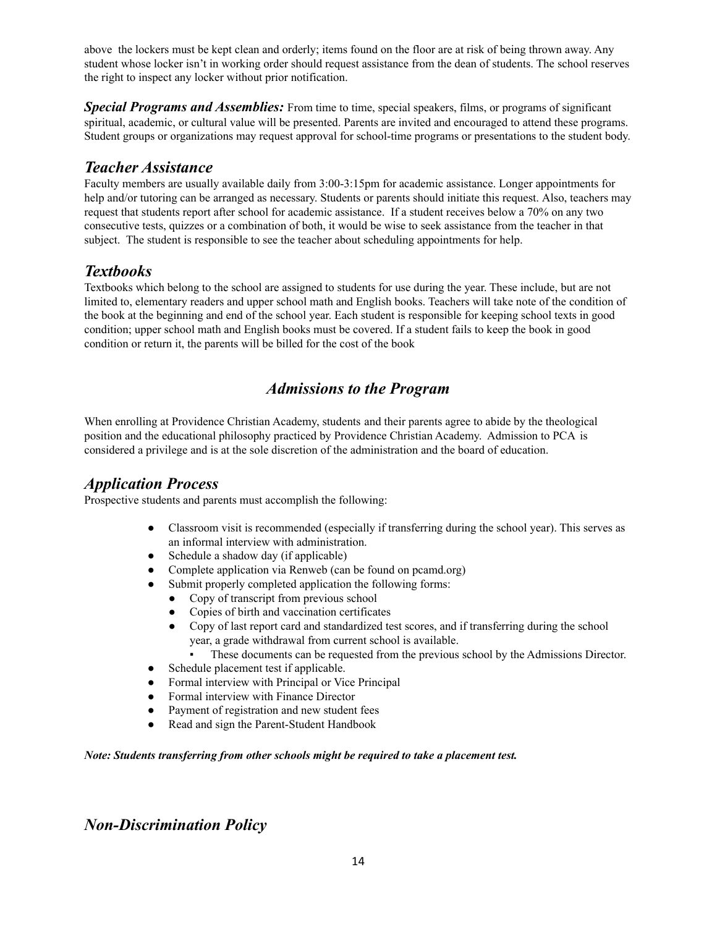above the lockers must be kept clean and orderly; items found on the floor are at risk of being thrown away. Any student whose locker isn't in working order should request assistance from the dean of students. The school reserves the right to inspect any locker without prior notification.

**Special Programs and Assemblies:** From time to time, special speakers, films, or programs of significant spiritual, academic, or cultural value will be presented. Parents are invited and encouraged to attend these programs. Student groups or organizations may request approval for school-time programs or presentations to the student body.

## *Teacher Assistance*

Faculty members are usually available daily from 3:00-3:15pm for academic assistance. Longer appointments for help and/or tutoring can be arranged as necessary. Students or parents should initiate this request. Also, teachers may request that students report after school for academic assistance. If a student receives below a 70% on any two consecutive tests, quizzes or a combination of both, it would be wise to seek assistance from the teacher in that subject. The student is responsible to see the teacher about scheduling appointments for help.

# *Textbooks*

Textbooks which belong to the school are assigned to students for use during the year. These include, but are not limited to, elementary readers and upper school math and English books. Teachers will take note of the condition of the book at the beginning and end of the school year. Each student is responsible for keeping school texts in good condition; upper school math and English books must be covered. If a student fails to keep the book in good condition or return it, the parents will be billed for the cost of the book

# *Admissions to the Program*

When enrolling at Providence Christian Academy, students and their parents agree to abide by the theological position and the educational philosophy practiced by Providence Christian Academy. Admission to PCA is considered a privilege and is at the sole discretion of the administration and the board of education.

### *Application Process*

Prospective students and parents must accomplish the following:

- Classroom visit is recommended (especially if transferring during the school year). This serves as an informal interview with administration.
- Schedule a shadow day (if applicable)
- Complete application via Renweb (can be found on pcamd.org)
- Submit properly completed application the following forms:
	- Copy of transcript from previous school
	- Copies of birth and vaccination certificates
	- Copy of last report card and standardized test scores, and if transferring during the school year, a grade withdrawal from current school is available.
		- These documents can be requested from the previous school by the Admissions Director.
- Schedule placement test if applicable.
- Formal interview with Principal or Vice Principal
- Formal interview with Finance Director
- Payment of registration and new student fees
- Read and sign the Parent-Student Handbook

*Note: Students transferring from other schools might be required to take a placement test.*

# *Non-Discrimination Policy*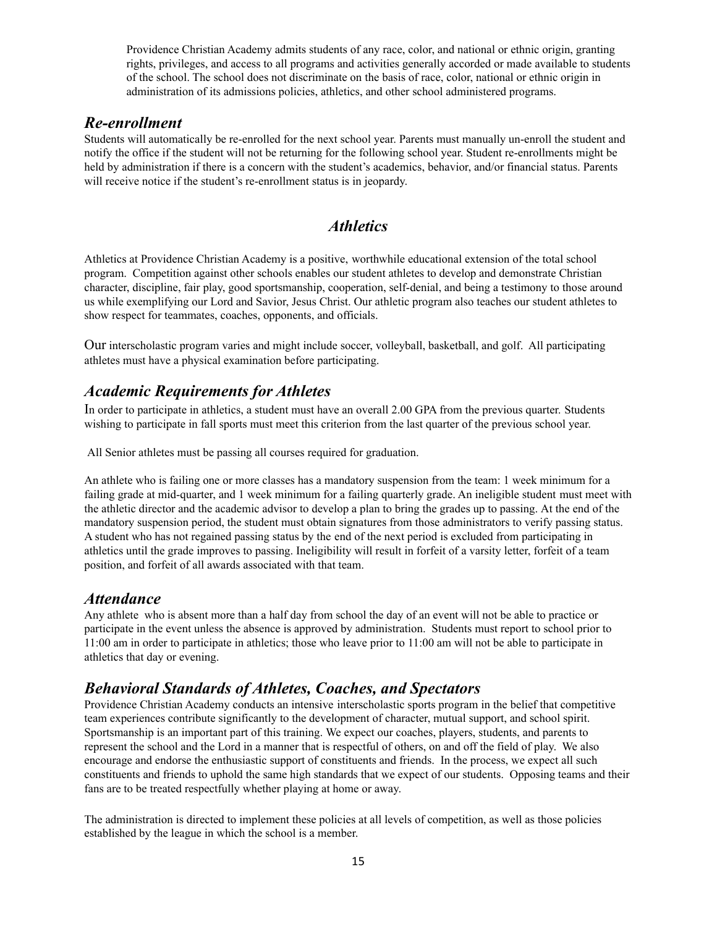Providence Christian Academy admits students of any race, color, and national or ethnic origin, granting rights, privileges, and access to all programs and activities generally accorded or made available to students of the school. The school does not discriminate on the basis of race, color, national or ethnic origin in administration of its admissions policies, athletics, and other school administered programs.

### *Re-enrollment*

Students will automatically be re-enrolled for the next school year. Parents must manually un-enroll the student and notify the office if the student will not be returning for the following school year. Student re-enrollments might be held by administration if there is a concern with the student's academics, behavior, and/or financial status. Parents will receive notice if the student's re-enrollment status is in jeopardy.

## *Athletics*

Athletics at Providence Christian Academy is a positive, worthwhile educational extension of the total school program. Competition against other schools enables our student athletes to develop and demonstrate Christian character, discipline, fair play, good sportsmanship, cooperation, self-denial, and being a testimony to those around us while exemplifying our Lord and Savior, Jesus Christ. Our athletic program also teaches our student athletes to show respect for teammates, coaches, opponents, and officials.

Our interscholastic program varies and might include soccer, volleyball, basketball, and golf. All participating athletes must have a physical examination before participating.

### *Academic Requirements for Athletes*

In order to participate in athletics, a student must have an overall 2.00 GPA from the previous quarter. Students wishing to participate in fall sports must meet this criterion from the last quarter of the previous school year.

All Senior athletes must be passing all courses required for graduation.

An athlete who is failing one or more classes has a mandatory suspension from the team: 1 week minimum for a failing grade at mid-quarter, and 1 week minimum for a failing quarterly grade. An ineligible student must meet with the athletic director and the academic advisor to develop a plan to bring the grades up to passing. At the end of the mandatory suspension period, the student must obtain signatures from those administrators to verify passing status. A student who has not regained passing status by the end of the next period is excluded from participating in athletics until the grade improves to passing. Ineligibility will result in forfeit of a varsity letter, forfeit of a team position, and forfeit of all awards associated with that team.

#### *Attendance*

Any athlete who is absent more than a half day from school the day of an event will not be able to practice or participate in the event unless the absence is approved by administration. Students must report to school prior to 11:00 am in order to participate in athletics; those who leave prior to 11:00 am will not be able to participate in athletics that day or evening.

# *Behavioral Standards of Athletes, Coaches, and Spectators*

Providence Christian Academy conducts an intensive interscholastic sports program in the belief that competitive team experiences contribute significantly to the development of character, mutual support, and school spirit. Sportsmanship is an important part of this training. We expect our coaches, players, students, and parents to represent the school and the Lord in a manner that is respectful of others, on and off the field of play. We also encourage and endorse the enthusiastic support of constituents and friends. In the process, we expect all such constituents and friends to uphold the same high standards that we expect of our students. Opposing teams and their fans are to be treated respectfully whether playing at home or away.

The administration is directed to implement these policies at all levels of competition, as well as those policies established by the league in which the school is a member.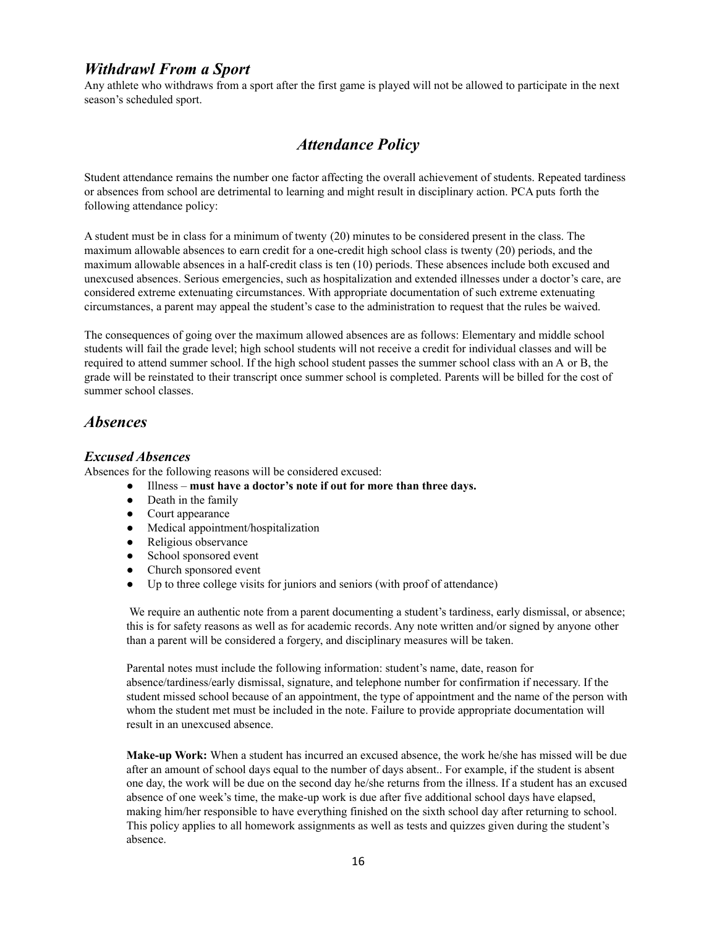### *Withdrawl From a Sport*

Any athlete who withdraws from a sport after the first game is played will not be allowed to participate in the next season's scheduled sport.

## *Attendance Policy*

Student attendance remains the number one factor affecting the overall achievement of students. Repeated tardiness or absences from school are detrimental to learning and might result in disciplinary action. PCA puts forth the following attendance policy:

A student must be in class for a minimum of twenty (20) minutes to be considered present in the class. The maximum allowable absences to earn credit for a one-credit high school class is twenty (20) periods, and the maximum allowable absences in a half-credit class is ten (10) periods. These absences include both excused and unexcused absences. Serious emergencies, such as hospitalization and extended illnesses under a doctor's care, are considered extreme extenuating circumstances. With appropriate documentation of such extreme extenuating circumstances, a parent may appeal the student's case to the administration to request that the rules be waived.

The consequences of going over the maximum allowed absences are as follows: Elementary and middle school students will fail the grade level; high school students will not receive a credit for individual classes and will be required to attend summer school. If the high school student passes the summer school class with an A or B, the grade will be reinstated to their transcript once summer school is completed. Parents will be billed for the cost of summer school classes.

### *Absences*

#### *Excused Absences*

Absences for the following reasons will be considered excused:

- Illness **must have a doctor's note if out for more than three days.**
- Death in the family
- Court appearance
- Medical appointment/hospitalization
- Religious observance
- School sponsored event
- Church sponsored event
- Up to three college visits for juniors and seniors (with proof of attendance)

We require an authentic note from a parent documenting a student's tardiness, early dismissal, or absence; this is for safety reasons as well as for academic records. Any note written and/or signed by anyone other than a parent will be considered a forgery, and disciplinary measures will be taken.

Parental notes must include the following information: student's name, date, reason for absence/tardiness/early dismissal, signature, and telephone number for confirmation if necessary. If the student missed school because of an appointment, the type of appointment and the name of the person with whom the student met must be included in the note. Failure to provide appropriate documentation will result in an unexcused absence.

**Make-up Work:** When a student has incurred an excused absence, the work he/she has missed will be due after an amount of school days equal to the number of days absent.. For example, if the student is absent one day, the work will be due on the second day he/she returns from the illness. If a student has an excused absence of one week's time, the make-up work is due after five additional school days have elapsed, making him/her responsible to have everything finished on the sixth school day after returning to school. This policy applies to all homework assignments as well as tests and quizzes given during the student's absence.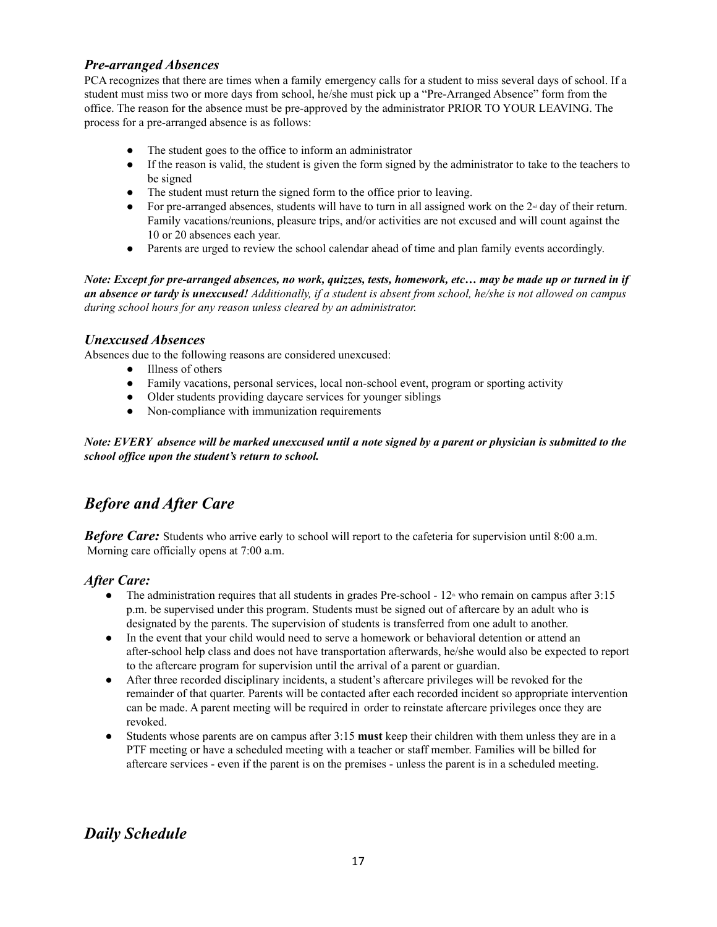#### *Pre-arranged Absences*

PCA recognizes that there are times when a family emergency calls for a student to miss several days of school. If a student must miss two or more days from school, he/she must pick up a "Pre-Arranged Absence" form from the office. The reason for the absence must be pre-approved by the administrator PRIOR TO YOUR LEAVING. The process for a pre-arranged absence is as follows:

- The student goes to the office to inform an administrator
- If the reason is valid, the student is given the form signed by the administrator to take to the teachers to be signed
- The student must return the signed form to the office prior to leaving.
- For pre-arranged absences, students will have to turn in all assigned work on the  $2<sup>d</sup>$  day of their return. Family vacations/reunions, pleasure trips, and/or activities are not excused and will count against the 10 or 20 absences each year.
- Parents are urged to review the school calendar ahead of time and plan family events accordingly.

Note: Except for pre-arranged absences, no work, quizzes, tests, homework, etc... may be made up or turned in if an absence or tardy is unexcused! Additionally, if a student is absent from school, he/she is not allowed on campus *during school hours for any reason unless cleared by an administrator.*

#### *Unexcused Absences*

Absences due to the following reasons are considered unexcused:

- Illness of others
- Family vacations, personal services, local non-school event, program or sporting activity
- Older students providing daycare services for younger siblings
- Non-compliance with immunization requirements

Note: EVERY absence will be marked unexcused until a note signed by a parent or physician is submitted to the *school of ice upon the student's return to school.*

# *Before and After Care*

*Before Care:* Students who arrive early to school will report to the cafeteria for supervision until 8:00 a.m. Morning care officially opens at 7:00 a.m.

#### *After Care:*

- The administration requires that all students in grades Pre-school  $12<sup>th</sup>$  who remain on campus after 3:15 p.m. be supervised under this program. Students must be signed out of aftercare by an adult who is designated by the parents. The supervision of students is transferred from one adult to another.
- In the event that your child would need to serve a homework or behavioral detention or attend an after-school help class and does not have transportation afterwards, he/she would also be expected to report to the aftercare program for supervision until the arrival of a parent or guardian.
- After three recorded disciplinary incidents, a student's aftercare privileges will be revoked for the remainder of that quarter. Parents will be contacted after each recorded incident so appropriate intervention can be made. A parent meeting will be required in order to reinstate aftercare privileges once they are revoked.
- Students whose parents are on campus after 3:15 **must** keep their children with them unless they are in a PTF meeting or have a scheduled meeting with a teacher or staff member. Families will be billed for aftercare services - even if the parent is on the premises - unless the parent is in a scheduled meeting.

# *Daily Schedule*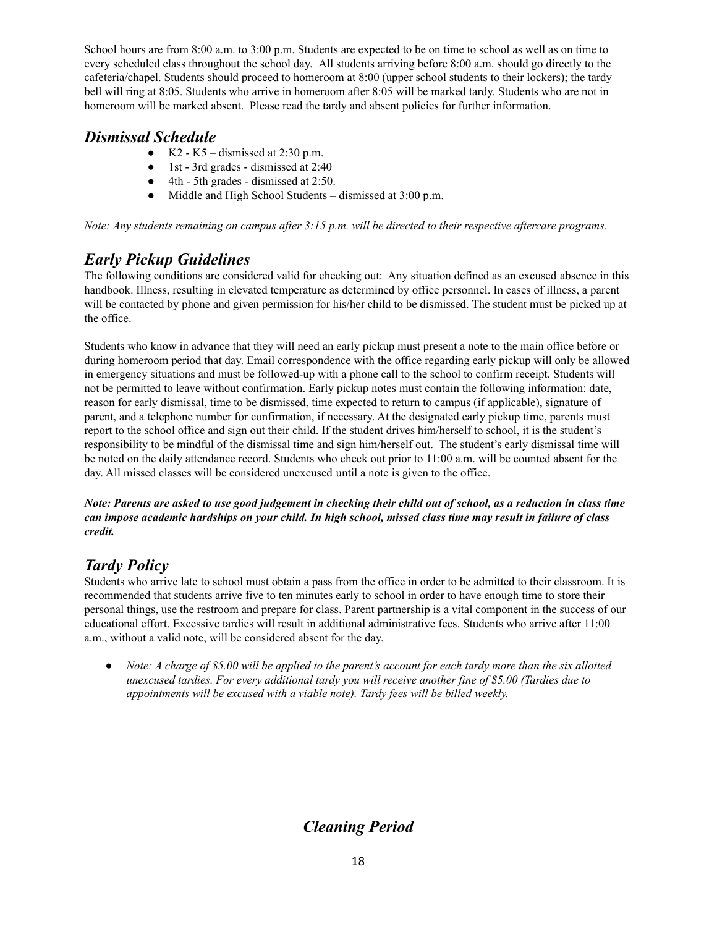School hours are from 8:00 a.m. to 3:00 p.m. Students are expected to be on time to school as well as on time to every scheduled class throughout the school day. All students arriving before 8:00 a.m. should go directly to the cafeteria/chapel. Students should proceed to homeroom at 8:00 (upper school students to their lockers); the tardy bell will ring at 8:05. Students who arrive in homeroom after 8:05 will be marked tardy. Students who are not in homeroom will be marked absent. Please read the tardy and absent policies for further information.

# *Dismissal Schedule*

- $\bullet$  K2 K5 dismissed at 2:30 p.m.
- 1st 3rd grades dismissed at 2:40
- 4th 5th grades dismissed at 2:50.
- Middle and High School Students dismissed at 3:00 p.m.

Note: Any students remaining on campus after  $3:15$  p.m. will be directed to their respective aftercare programs.

# *Early Pickup Guidelines*

The following conditions are considered valid for checking out: Any situation defined as an excused absence in this handbook. Illness, resulting in elevated temperature as determined by office personnel. In cases of illness, a parent will be contacted by phone and given permission for his/her child to be dismissed. The student must be picked up at the office.

Students who know in advance that they will need an early pickup must present a note to the main office before or during homeroom period that day. Email correspondence with the office regarding early pickup will only be allowed in emergency situations and must be followed-up with a phone call to the school to confirm receipt. Students will not be permitted to leave without confirmation. Early pickup notes must contain the following information: date, reason for early dismissal, time to be dismissed, time expected to return to campus (if applicable), signature of parent, and a telephone number for confirmation, if necessary. At the designated early pickup time, parents must report to the school office and sign out their child. If the student drives him/herself to school, it is the student's responsibility to be mindful of the dismissal time and sign him/herself out. The student's early dismissal time will be noted on the daily attendance record. Students who check out prior to 11:00 a.m. will be counted absent for the day. All missed classes will be considered unexcused until a note is given to the office.

Note: Parents are asked to use good judgement in checking their child out of school, as a reduction in class time can impose academic hardships on your child. In high school, missed class time may result in failure of class *credit.*

# *Tardy Policy*

Students who arrive late to school must obtain a pass from the office in order to be admitted to their classroom. It is recommended that students arrive five to ten minutes early to school in order to have enough time to store their personal things, use the restroom and prepare for class. Parent partnership is a vital component in the success of our educational effort. Excessive tardies will result in additional administrative fees. Students who arrive after 11:00 a.m., without a valid note, will be considered absent for the day.

• Note: A charge of \$5.00 will be applied to the parent's account for each tardy more than the six allotted *unexcused tardies. For every additional tardy you will receive another fine of \$5.00 (Tardies due to appointments will be excused with a viable note). Tardy fees will be billed weekly.*

# *Cleaning Period*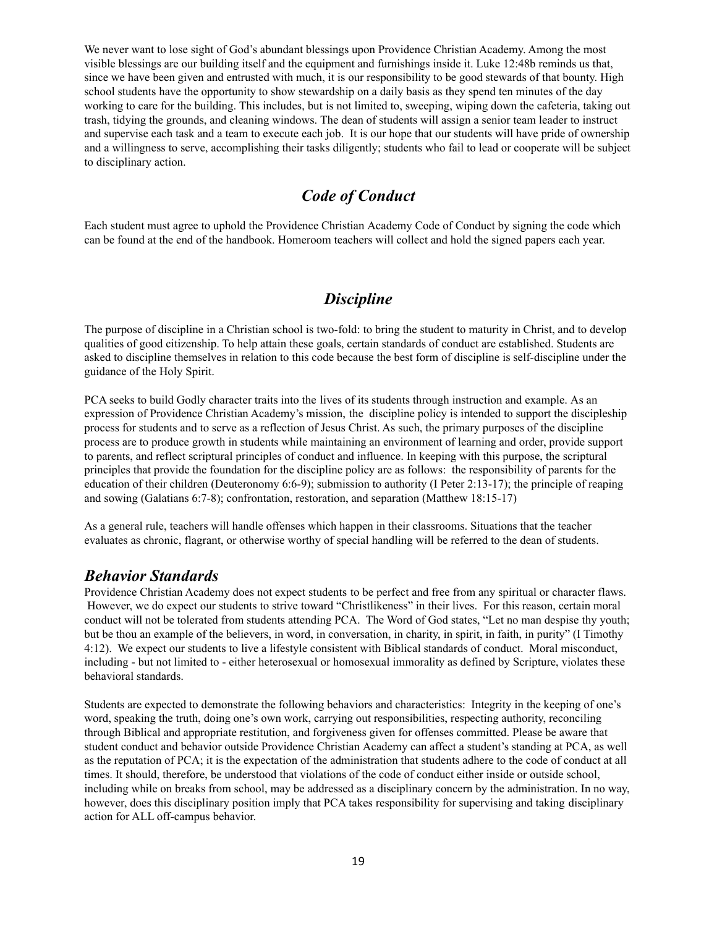We never want to lose sight of God's abundant blessings upon Providence Christian Academy. Among the most visible blessings are our building itself and the equipment and furnishings inside it. Luke 12:48b reminds us that, since we have been given and entrusted with much, it is our responsibility to be good stewards of that bounty. High school students have the opportunity to show stewardship on a daily basis as they spend ten minutes of the day working to care for the building. This includes, but is not limited to, sweeping, wiping down the cafeteria, taking out trash, tidying the grounds, and cleaning windows. The dean of students will assign a senior team leader to instruct and supervise each task and a team to execute each job. It is our hope that our students will have pride of ownership and a willingness to serve, accomplishing their tasks diligently; students who fail to lead or cooperate will be subject to disciplinary action.

### *Code of Conduct*

Each student must agree to uphold the Providence Christian Academy Code of Conduct by signing the code which can be found at the end of the handbook. Homeroom teachers will collect and hold the signed papers each year.

## *Discipline*

The purpose of discipline in a Christian school is two-fold: to bring the student to maturity in Christ, and to develop qualities of good citizenship. To help attain these goals, certain standards of conduct are established. Students are asked to discipline themselves in relation to this code because the best form of discipline is self-discipline under the guidance of the Holy Spirit.

PCA seeks to build Godly character traits into the lives of its students through instruction and example. As an expression of Providence Christian Academy's mission, the discipline policy is intended to support the discipleship process for students and to serve as a reflection of Jesus Christ. As such, the primary purposes of the discipline process are to produce growth in students while maintaining an environment of learning and order, provide support to parents, and reflect scriptural principles of conduct and influence. In keeping with this purpose, the scriptural principles that provide the foundation for the discipline policy are as follows: the responsibility of parents for the education of their children (Deuteronomy 6:6-9); submission to authority (I Peter 2:13-17); the principle of reaping and sowing (Galatians 6:7-8); confrontation, restoration, and separation (Matthew 18:15-17)

As a general rule, teachers will handle offenses which happen in their classrooms. Situations that the teacher evaluates as chronic, flagrant, or otherwise worthy of special handling will be referred to the dean of students.

#### *Behavior Standards*

Providence Christian Academy does not expect students to be perfect and free from any spiritual or character flaws. However, we do expect our students to strive toward "Christlikeness" in their lives. For this reason, certain moral conduct will not be tolerated from students attending PCA. The Word of God states, "Let no man despise thy youth; but be thou an example of the believers, in word, in conversation, in charity, in spirit, in faith, in purity" (I Timothy 4:12). We expect our students to live a lifestyle consistent with Biblical standards of conduct. Moral misconduct, including - but not limited to - either heterosexual or homosexual immorality as defined by Scripture, violates these behavioral standards.

Students are expected to demonstrate the following behaviors and characteristics: Integrity in the keeping of one's word, speaking the truth, doing one's own work, carrying out responsibilities, respecting authority, reconciling through Biblical and appropriate restitution, and forgiveness given for offenses committed. Please be aware that student conduct and behavior outside Providence Christian Academy can affect a student's standing at PCA, as well as the reputation of PCA; it is the expectation of the administration that students adhere to the code of conduct at all times. It should, therefore, be understood that violations of the code of conduct either inside or outside school, including while on breaks from school, may be addressed as a disciplinary concern by the administration. In no way, however, does this disciplinary position imply that PCA takes responsibility for supervising and taking disciplinary action for ALL off-campus behavior.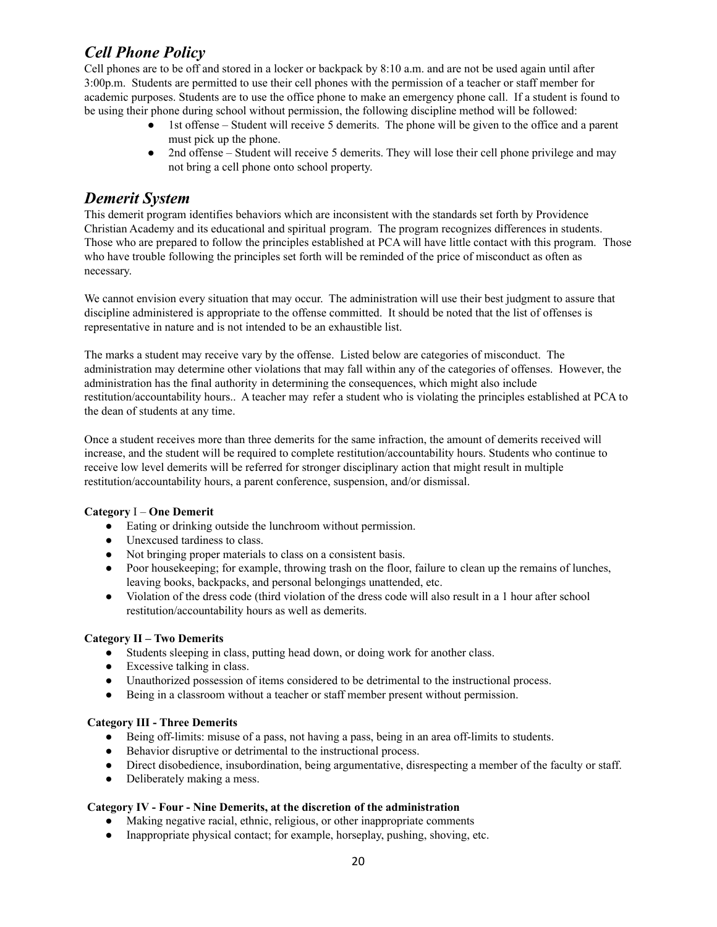# *Cell Phone Policy*

Cell phones are to be off and stored in a locker or backpack by 8:10 a.m. and are not be used again until after 3:00p.m. Students are permitted to use their cell phones with the permission of a teacher or staff member for academic purposes. Students are to use the office phone to make an emergency phone call. If a student is found to be using their phone during school without permission, the following discipline method will be followed:

- 1st offense Student will receive 5 demerits. The phone will be given to the office and a parent must pick up the phone.
- 2nd offense Student will receive 5 demerits. They will lose their cell phone privilege and may not bring a cell phone onto school property.

### *Demerit System*

This demerit program identifies behaviors which are inconsistent with the standards set forth by Providence Christian Academy and its educational and spiritual program. The program recognizes differences in students. Those who are prepared to follow the principles established at PCA will have little contact with this program. Those who have trouble following the principles set forth will be reminded of the price of misconduct as often as necessary.

We cannot envision every situation that may occur. The administration will use their best judgment to assure that discipline administered is appropriate to the offense committed. It should be noted that the list of offenses is representative in nature and is not intended to be an exhaustible list.

The marks a student may receive vary by the offense. Listed below are categories of misconduct. The administration may determine other violations that may fall within any of the categories of offenses. However, the administration has the final authority in determining the consequences, which might also include restitution/accountability hours.. A teacher may refer a student who is violating the principles established at PCA to the dean of students at any time.

Once a student receives more than three demerits for the same infraction, the amount of demerits received will increase, and the student will be required to complete restitution/accountability hours. Students who continue to receive low level demerits will be referred for stronger disciplinary action that might result in multiple restitution/accountability hours, a parent conference, suspension, and/or dismissal.

#### **Category** I – **One Demerit**

- Eating or drinking outside the lunchroom without permission.
- Unexcused tardiness to class.
- Not bringing proper materials to class on a consistent basis.
- Poor house keeping; for example, throwing trash on the floor, failure to clean up the remains of lunches, leaving books, backpacks, and personal belongings unattended, etc.
- Violation of the dress code (third violation of the dress code will also result in a 1 hour after school restitution/accountability hours as well as demerits.

#### **Category II – Two Demerits**

- Students sleeping in class, putting head down, or doing work for another class.
- Excessive talking in class.
- Unauthorized possession of items considered to be detrimental to the instructional process.
- Being in a classroom without a teacher or staff member present without permission.

#### **Category III - Three Demerits**

- Being off-limits: misuse of a pass, not having a pass, being in an area off-limits to students.
- Behavior disruptive or detrimental to the instructional process.
- Direct disobedience, insubordination, being argumentative, disrespecting a member of the faculty or staff.
- Deliberately making a mess.

#### **Category IV - Four - Nine Demerits, at the discretion of the administration**

- Making negative racial, ethnic, religious, or other inappropriate comments
- Inappropriate physical contact; for example, horseplay, pushing, shoving, etc.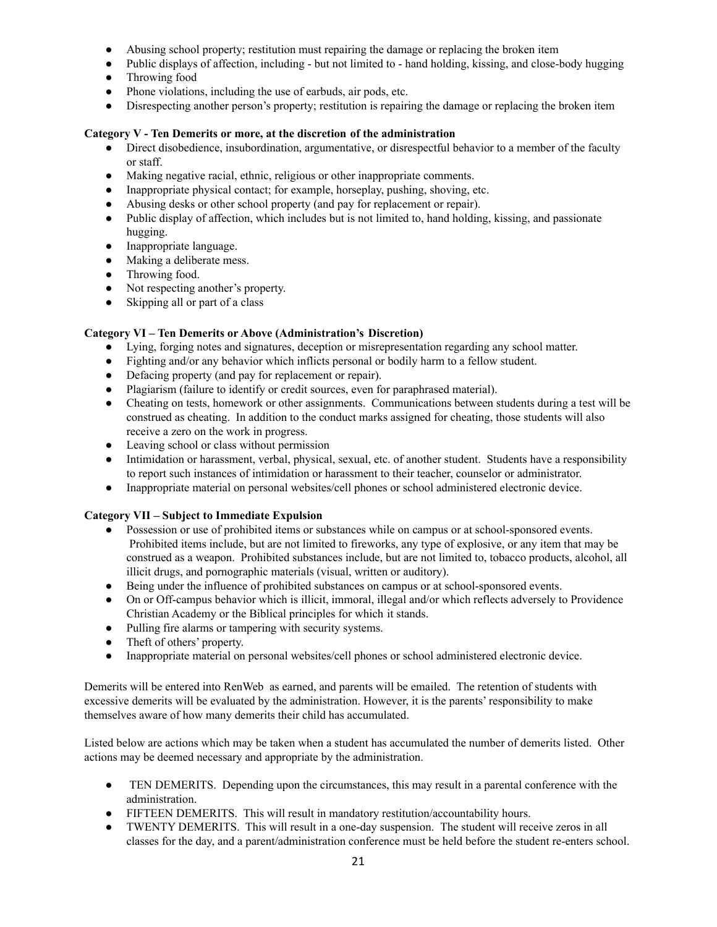- Abusing school property; restitution must repairing the damage or replacing the broken item
- Public displays of affection, including but not limited to hand holding, kissing, and close-body hugging
- Throwing food
- Phone violations, including the use of earbuds, air pods, etc.
- Disrespecting another person's property; restitution is repairing the damage or replacing the broken item

#### **Category V - Ten Demerits or more, at the discretion of the administration**

- Direct disobedience, insubordination, argumentative, or disrespectful behavior to a member of the faculty or staff.
- Making negative racial, ethnic, religious or other inappropriate comments.
- Inappropriate physical contact; for example, horseplay, pushing, shoving, etc.
- Abusing desks or other school property (and pay for replacement or repair).
- Public display of affection, which includes but is not limited to, hand holding, kissing, and passionate hugging.
- Inappropriate language.
- Making a deliberate mess.
- Throwing food.
- Not respecting another's property.
- Skipping all or part of a class

#### **Category VI – Ten Demerits or Above (Administration's Discretion)**

- Lying, forging notes and signatures, deception or misrepresentation regarding any school matter.
- Fighting and/or any behavior which inflicts personal or bodily harm to a fellow student.
- Defacing property (and pay for replacement or repair).
- Plagiarism (failure to identify or credit sources, even for paraphrased material).
- Cheating on tests, homework or other assignments. Communications between students during a test will be construed as cheating. In addition to the conduct marks assigned for cheating, those students will also receive a zero on the work in progress.
- Leaving school or class without permission
- Intimidation or harassment, verbal, physical, sexual, etc. of another student. Students have a responsibility to report such instances of intimidation or harassment to their teacher, counselor or administrator.
- Inappropriate material on personal websites/cell phones or school administered electronic device.

#### **Category VII – Subject to Immediate Expulsion**

- Possession or use of prohibited items or substances while on campus or at school-sponsored events. Prohibited items include, but are not limited to fireworks, any type of explosive, or any item that may be construed as a weapon. Prohibited substances include, but are not limited to, tobacco products, alcohol, all illicit drugs, and pornographic materials (visual, written or auditory).
- Being under the influence of prohibited substances on campus or at school-sponsored events.
- On or Off-campus behavior which is illicit, immoral, illegal and/or which reflects adversely to Providence Christian Academy or the Biblical principles for which it stands.
- Pulling fire alarms or tampering with security systems.
- Theft of others' property.
- Inappropriate material on personal websites/cell phones or school administered electronic device.

Demerits will be entered into RenWeb as earned, and parents will be emailed. The retention of students with excessive demerits will be evaluated by the administration. However, it is the parents' responsibility to make themselves aware of how many demerits their child has accumulated.

Listed below are actions which may be taken when a student has accumulated the number of demerits listed. Other actions may be deemed necessary and appropriate by the administration.

- TEN DEMERITS. Depending upon the circumstances, this may result in a parental conference with the administration.
- FIFTEEN DEMERITS. This will result in mandatory restitution/accountability hours.
- TWENTY DEMERITS. This will result in a one-day suspension. The student will receive zeros in all classes for the day, and a parent/administration conference must be held before the student re-enters school.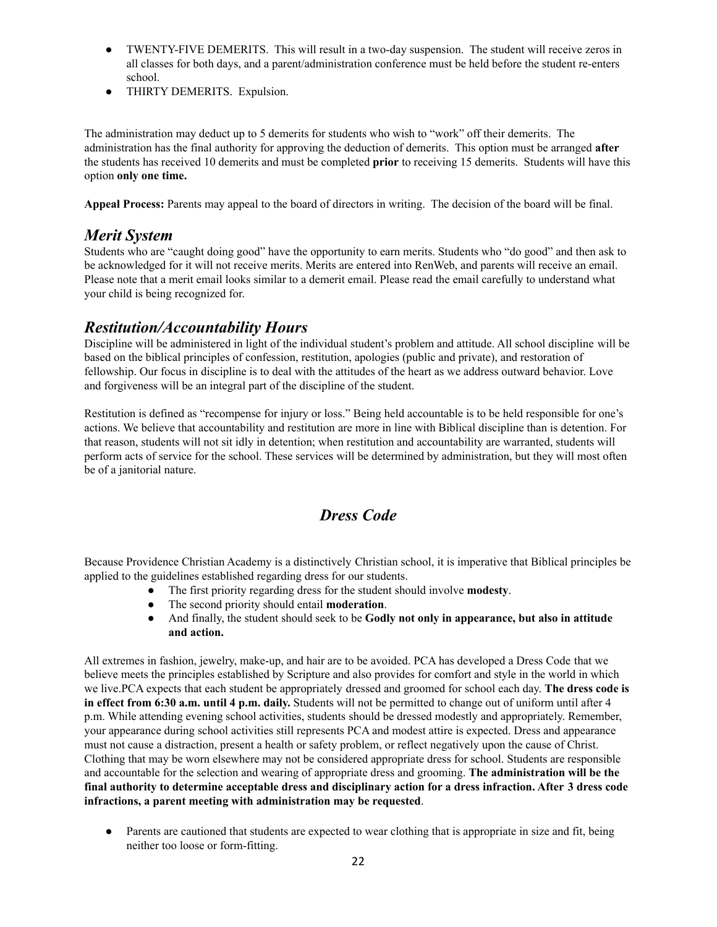- TWENTY-FIVE DEMERITS. This will result in a two-day suspension. The student will receive zeros in all classes for both days, and a parent/administration conference must be held before the student re-enters school.
- THIRTY DEMERITS. Expulsion.

The administration may deduct up to 5 demerits for students who wish to "work" off their demerits. The administration has the final authority for approving the deduction of demerits. This option must be arranged **after** the students has received 10 demerits and must be completed **prior** to receiving 15 demerits. Students will have this option **only one time.**

**Appeal Process:** Parents may appeal to the board of directors in writing. The decision of the board will be final.

### *Merit System*

Students who are "caught doing good" have the opportunity to earn merits. Students who "do good" and then ask to be acknowledged for it will not receive merits. Merits are entered into RenWeb, and parents will receive an email. Please note that a merit email looks similar to a demerit email. Please read the email carefully to understand what your child is being recognized for.

## *Restitution/Accountability Hours*

Discipline will be administered in light of the individual student's problem and attitude. All school discipline will be based on the biblical principles of confession, restitution, apologies (public and private), and restoration of fellowship. Our focus in discipline is to deal with the attitudes of the heart as we address outward behavior. Love and forgiveness will be an integral part of the discipline of the student.

Restitution is defined as "recompense for injury or loss." Being held accountable is to be held responsible for one's actions. We believe that accountability and restitution are more in line with Biblical discipline than is detention. For that reason, students will not sit idly in detention; when restitution and accountability are warranted, students will perform acts of service for the school. These services will be determined by administration, but they will most often be of a janitorial nature.

# *Dress Code*

Because Providence Christian Academy is a distinctively Christian school, it is imperative that Biblical principles be applied to the guidelines established regarding dress for our students.

- The first priority regarding dress for the student should involve **modesty**.
- The second priority should entail **moderation**.
- And finally, the student should seek to be **Godly not only in appearance, but also in attitude and action.**

All extremes in fashion, jewelry, make-up, and hair are to be avoided. PCA has developed a Dress Code that we believe meets the principles established by Scripture and also provides for comfort and style in the world in which we live.PCA expects that each student be appropriately dressed and groomed for school each day. **The dress code is in effect from 6:30 a.m. until 4 p.m. daily.** Students will not be permitted to change out of uniform until after 4 p.m. While attending evening school activities, students should be dressed modestly and appropriately. Remember, your appearance during school activities still represents PCA and modest attire is expected. Dress and appearance must not cause a distraction, present a health or safety problem, or reflect negatively upon the cause of Christ. Clothing that may be worn elsewhere may not be considered appropriate dress for school. Students are responsible and accountable for the selection and wearing of appropriate dress and grooming. **The administration will be the** final authority to determine acceptable dress and disciplinary action for a dress infraction. After 3 dress code **infractions, a parent meeting with administration may be requested**.

• Parents are cautioned that students are expected to wear clothing that is appropriate in size and fit, being neither too loose or form-fitting.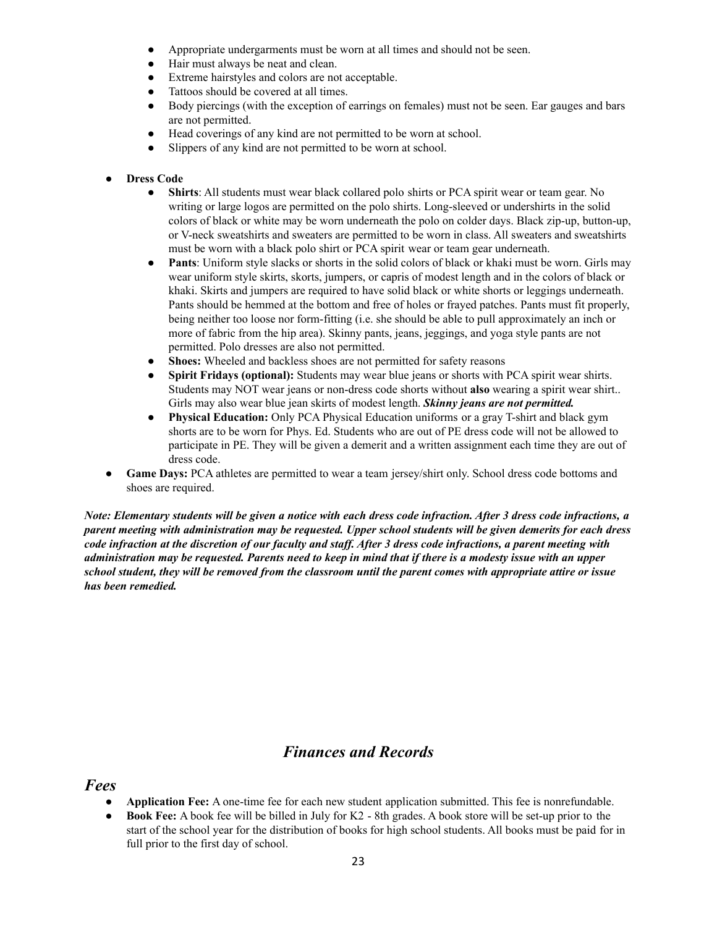- Appropriate undergarments must be worn at all times and should not be seen.
- Hair must always be neat and clean.
- Extreme hairstyles and colors are not acceptable.
- Tattoos should be covered at all times.
- Body piercings (with the exception of earrings on females) must not be seen. Ear gauges and bars are not permitted.
- Head coverings of any kind are not permitted to be worn at school.
- Slippers of any kind are not permitted to be worn at school.

#### **● Dress Code**

- **Shirts**: All students must wear black collared polo shirts or PCA spirit wear or team gear. No writing or large logos are permitted on the polo shirts. Long-sleeved or undershirts in the solid colors of black or white may be worn underneath the polo on colder days. Black zip-up, button-up, or V-neck sweatshirts and sweaters are permitted to be worn in class. All sweaters and sweatshirts must be worn with a black polo shirt or PCA spirit wear or team gear underneath.
- **Pants**: Uniform style slacks or shorts in the solid colors of black or khaki must be worn. Girls may wear uniform style skirts, skorts, jumpers, or capris of modest length and in the colors of black or khaki. Skirts and jumpers are required to have solid black or white shorts or leggings underneath. Pants should be hemmed at the bottom and free of holes or frayed patches. Pants must fit properly, being neither too loose nor form-fitting (i.e. she should be able to pull approximately an inch or more of fabric from the hip area). Skinny pants, jeans, jeggings, and yoga style pants are not permitted. Polo dresses are also not permitted.
- **Shoes:** Wheeled and backless shoes are not permitted for safety reasons
- **Spirit Fridays (optional):** Students may wear blue jeans or shorts with PCA spirit wear shirts. Students may NOT wear jeans or non-dress code shorts without **also** wearing a spirit wear shirt.. Girls may also wear blue jean skirts of modest length. *Skinny jeans are not permitted.*
- **Physical Education:** Only PCA Physical Education uniforms or a gray T-shirt and black gym shorts are to be worn for Phys. Ed. Students who are out of PE dress code will not be allowed to participate in PE. They will be given a demerit and a written assignment each time they are out of dress code.
- Game Days: PCA athletes are permitted to wear a team jersey/shirt only. School dress code bottoms and shoes are required.

Note: Elementary students will be given a notice with each dress code infraction. After 3 dress code infractions, a parent meeting with administration may be requested. Upper school students will be given demerits for each dress code infraction at the discretion of our faculty and staff. After 3 dress code infractions, a parent meeting with administration may be requested. Parents need to keep in mind that if there is a modesty issue with an upper school student, they will be removed from the classroom until the parent comes with appropriate attire or issue *has been remedied.*

# *Finances and Records*

*Fees*

- **Application Fee:** A one-time fee for each new student application submitted. This fee is nonrefundable.
- **Book Fee:** A book fee will be billed in July for K2 8th grades. A book store will be set-up prior to the start of the school year for the distribution of books for high school students. All books must be paid for in full prior to the first day of school.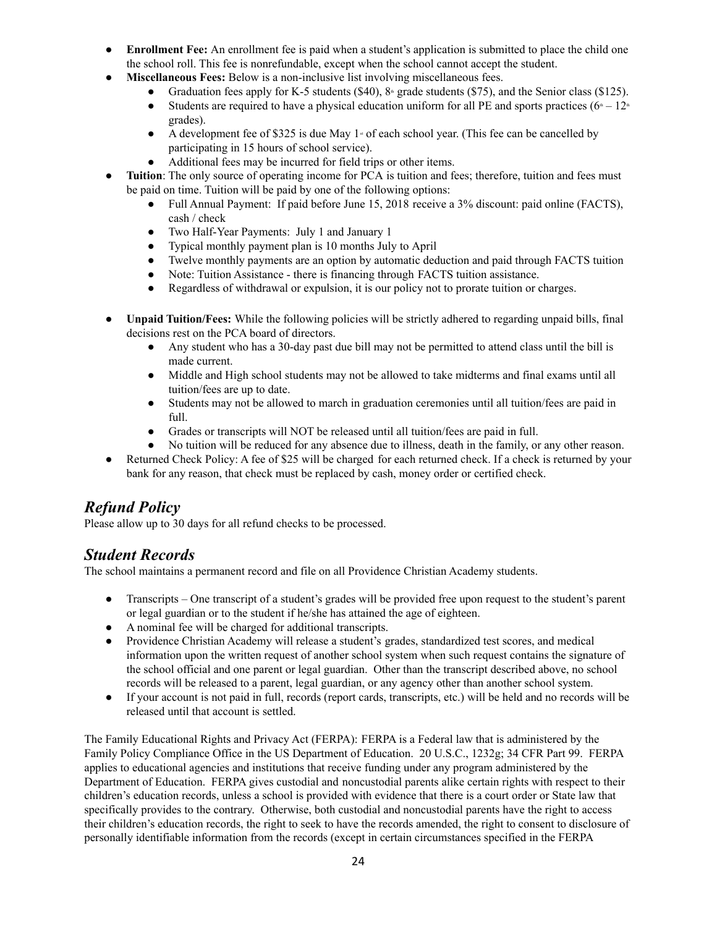- **Enrollment Fee:** An enrollment fee is paid when a student's application is submitted to place the child one the school roll. This fee is nonrefundable, except when the school cannot accept the student.
	- **Miscellaneous Fees:** Below is a non-inclusive list involving miscellaneous fees.
		- Graduation fees apply for K-5 students (\$40),  $8^{\circ}$  grade students (\$75), and the Senior class (\$125).
		- Students are required to have a physical education uniform for all PE and sports practices ( $6 12$ <sup>th</sup>) grades).
		- A development fee of \$325 is due May  $1 \cdot \text{ of each school year.}$  (This fee can be cancelled by participating in 15 hours of school service).
		- Additional fees may be incurred for field trips or other items.
- **Tuition**: The only source of operating income for PCA is tuition and fees; therefore, tuition and fees must be paid on time. Tuition will be paid by one of the following options:
	- Full Annual Payment: If paid before June 15, 2018 receive a 3% discount: paid online (FACTS), cash / check
	- Two Half-Year Payments: July 1 and January 1
	- Typical monthly payment plan is 10 months July to April
	- Twelve monthly payments are an option by automatic deduction and paid through FACTS tuition
	- Note: Tuition Assistance there is financing through FACTS tuition assistance.
	- Regardless of withdrawal or expulsion, it is our policy not to prorate tuition or charges.
- **Unpaid Tuition/Fees:** While the following policies will be strictly adhered to regarding unpaid bills, final decisions rest on the PCA board of directors.
	- Any student who has a 30-day past due bill may not be permitted to attend class until the bill is made current.
	- Middle and High school students may not be allowed to take midterms and final exams until all tuition/fees are up to date.
	- Students may not be allowed to march in graduation ceremonies until all tuition/fees are paid in full.
	- Grades or transcripts will NOT be released until all tuition/fees are paid in full.
	- No tuition will be reduced for any absence due to illness, death in the family, or any other reason.
- Returned Check Policy: A fee of \$25 will be charged for each returned check. If a check is returned by your bank for any reason, that check must be replaced by cash, money order or certified check.

# *Refund Policy*

Please allow up to 30 days for all refund checks to be processed.

# *Student Records*

The school maintains a permanent record and file on all Providence Christian Academy students.

- Transcripts One transcript of a student's grades will be provided free upon request to the student's parent or legal guardian or to the student if he/she has attained the age of eighteen.
- A nominal fee will be charged for additional transcripts.
- Providence Christian Academy will release a student's grades, standardized test scores, and medical information upon the written request of another school system when such request contains the signature of the school official and one parent or legal guardian. Other than the transcript described above, no school records will be released to a parent, legal guardian, or any agency other than another school system.
- If your account is not paid in full, records (report cards, transcripts, etc.) will be held and no records will be released until that account is settled.

The Family Educational Rights and Privacy Act (FERPA): FERPA is a Federal law that is administered by the Family Policy Compliance Office in the US Department of Education. 20 U.S.C., 1232g; 34 CFR Part 99. FERPA applies to educational agencies and institutions that receive funding under any program administered by the Department of Education. FERPA gives custodial and noncustodial parents alike certain rights with respect to their children's education records, unless a school is provided with evidence that there is a court order or State law that specifically provides to the contrary. Otherwise, both custodial and noncustodial parents have the right to access their children's education records, the right to seek to have the records amended, the right to consent to disclosure of personally identifiable information from the records (except in certain circumstances specified in the FERPA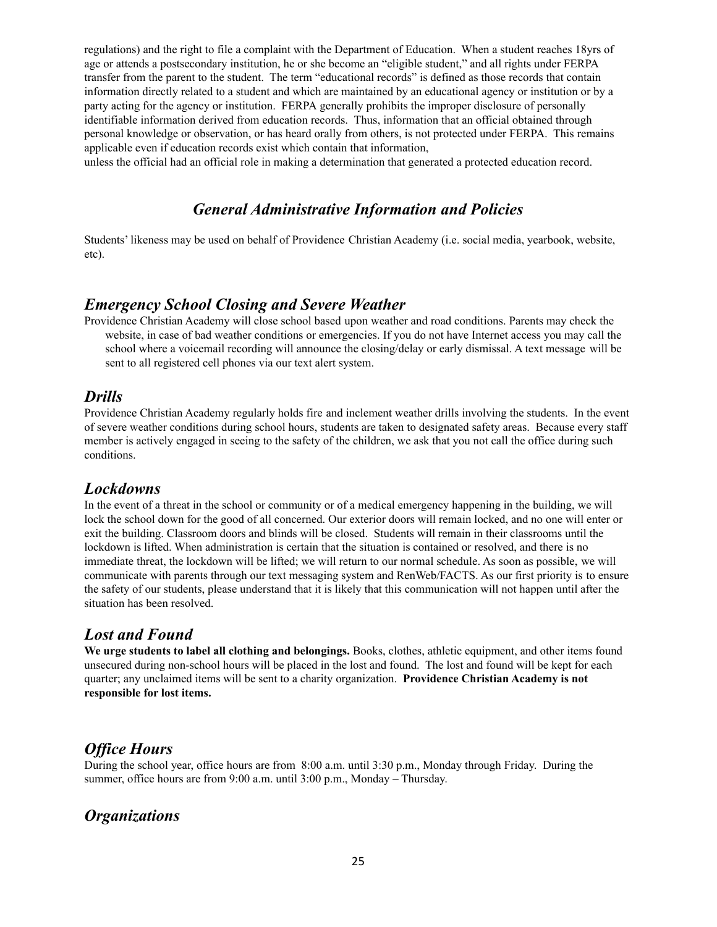regulations) and the right to file a complaint with the Department of Education. When a student reaches 18yrs of age or attends a postsecondary institution, he or she become an "eligible student," and all rights under FERPA transfer from the parent to the student. The term "educational records" is defined as those records that contain information directly related to a student and which are maintained by an educational agency or institution or by a party acting for the agency or institution. FERPA generally prohibits the improper disclosure of personally identifiable information derived from education records. Thus, information that an official obtained through personal knowledge or observation, or has heard orally from others, is not protected under FERPA. This remains applicable even if education records exist which contain that information,

unless the official had an official role in making a determination that generated a protected education record.

## *General Administrative Information and Policies*

Students' likeness may be used on behalf of Providence Christian Academy (i.e. social media, yearbook, website, etc).

### *Emergency School Closing and Severe Weather*

Providence Christian Academy will close school based upon weather and road conditions. Parents may check the website, in case of bad weather conditions or emergencies. If you do not have Internet access you may call the school where a voicemail recording will announce the closing/delay or early dismissal. A text message will be sent to all registered cell phones via our text alert system.

### *Drills*

Providence Christian Academy regularly holds fire and inclement weather drills involving the students. In the event of severe weather conditions during school hours, students are taken to designated safety areas. Because every staff member is actively engaged in seeing to the safety of the children, we ask that you not call the office during such conditions.

### *Lockdowns*

In the event of a threat in the school or community or of a medical emergency happening in the building, we will lock the school down for the good of all concerned. Our exterior doors will remain locked, and no one will enter or exit the building. Classroom doors and blinds will be closed. Students will remain in their classrooms until the lockdown is lifted. When administration is certain that the situation is contained or resolved, and there is no immediate threat, the lockdown will be lifted; we will return to our normal schedule. As soon as possible, we will communicate with parents through our text messaging system and RenWeb/FACTS. As our first priority is to ensure the safety of our students, please understand that it is likely that this communication will not happen until after the situation has been resolved.

### *Lost and Found*

**We urge students to label all clothing and belongings.** Books, clothes, athletic equipment, and other items found unsecured during non-school hours will be placed in the lost and found. The lost and found will be kept for each quarter; any unclaimed items will be sent to a charity organization. **Providence Christian Academy is not responsible for lost items.**

### *Of ice Hours*

During the school year, office hours are from 8:00 a.m. until 3:30 p.m., Monday through Friday. During the summer, office hours are from 9:00 a.m. until 3:00 p.m., Monday – Thursday.

### *Organizations*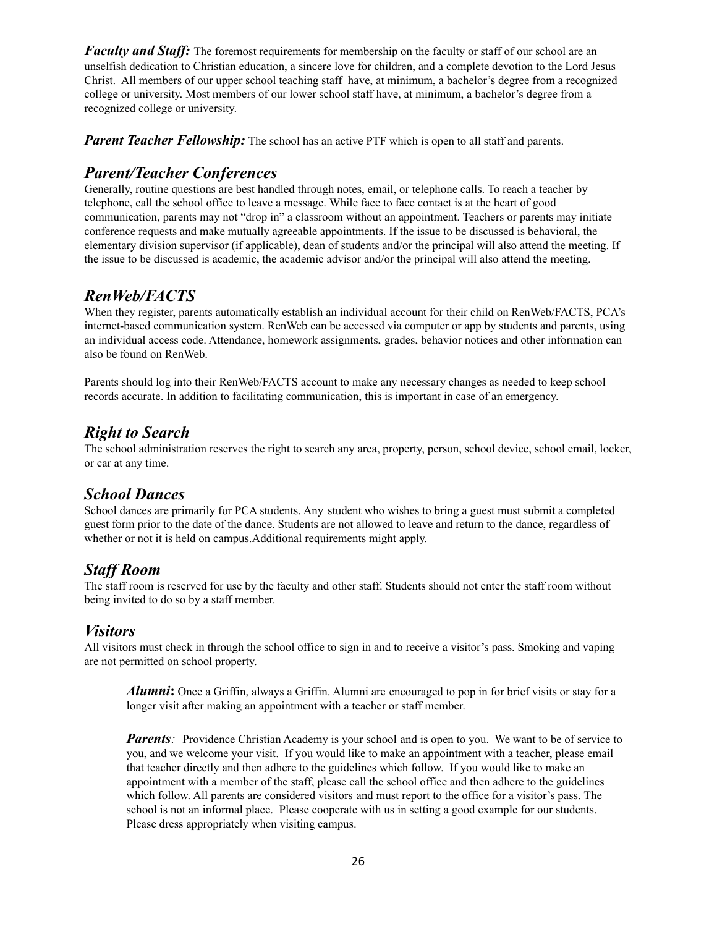*Faculty and Staff:* The foremost requirements for membership on the faculty or staff of our school are an unselfish dedication to Christian education, a sincere love for children, and a complete devotion to the Lord Jesus Christ. All members of our upper school teaching staff have, at minimum, a bachelor's degree from a recognized college or university. Most members of our lower school staff have, at minimum, a bachelor's degree from a recognized college or university.

*Parent Teacher Fellowship:* The school has an active PTF which is open to all staff and parents.

## *Parent/Teacher Conferences*

Generally, routine questions are best handled through notes, email, or telephone calls. To reach a teacher by telephone, call the school office to leave a message. While face to face contact is at the heart of good communication, parents may not "drop in" a classroom without an appointment. Teachers or parents may initiate conference requests and make mutually agreeable appointments. If the issue to be discussed is behavioral, the elementary division supervisor (if applicable), dean of students and/or the principal will also attend the meeting. If the issue to be discussed is academic, the academic advisor and/or the principal will also attend the meeting.

# *RenWeb/FACTS*

When they register, parents automatically establish an individual account for their child on RenWeb/FACTS, PCA's internet-based communication system. RenWeb can be accessed via computer or app by students and parents, using an individual access code. Attendance, homework assignments, grades, behavior notices and other information can also be found on RenWeb.

Parents should log into their RenWeb/FACTS account to make any necessary changes as needed to keep school records accurate. In addition to facilitating communication, this is important in case of an emergency.

## *Right to Search*

The school administration reserves the right to search any area, property, person, school device, school email, locker, or car at any time.

### *School Dances*

School dances are primarily for PCA students. Any student who wishes to bring a guest must submit a completed guest form prior to the date of the dance. Students are not allowed to leave and return to the dance, regardless of whether or not it is held on campus.Additional requirements might apply.

### *Staf Room*

The staff room is reserved for use by the faculty and other staff. Students should not enter the staff room without being invited to do so by a staff member.

### *Visitors*

All visitors must check in through the school office to sign in and to receive a visitor's pass. Smoking and vaping are not permitted on school property.

*Alumni***:** Once a Griffin, always a Griffin. Alumni are encouraged to pop in for brief visits or stay for a longer visit after making an appointment with a teacher or staff member.

*Parents*: Providence Christian Academy is your school and is open to you. We want to be of service to you, and we welcome your visit. If you would like to make an appointment with a teacher, please email that teacher directly and then adhere to the guidelines which follow. If you would like to make an appointment with a member of the staff, please call the school office and then adhere to the guidelines which follow. All parents are considered visitors and must report to the office for a visitor's pass. The school is not an informal place. Please cooperate with us in setting a good example for our students. Please dress appropriately when visiting campus.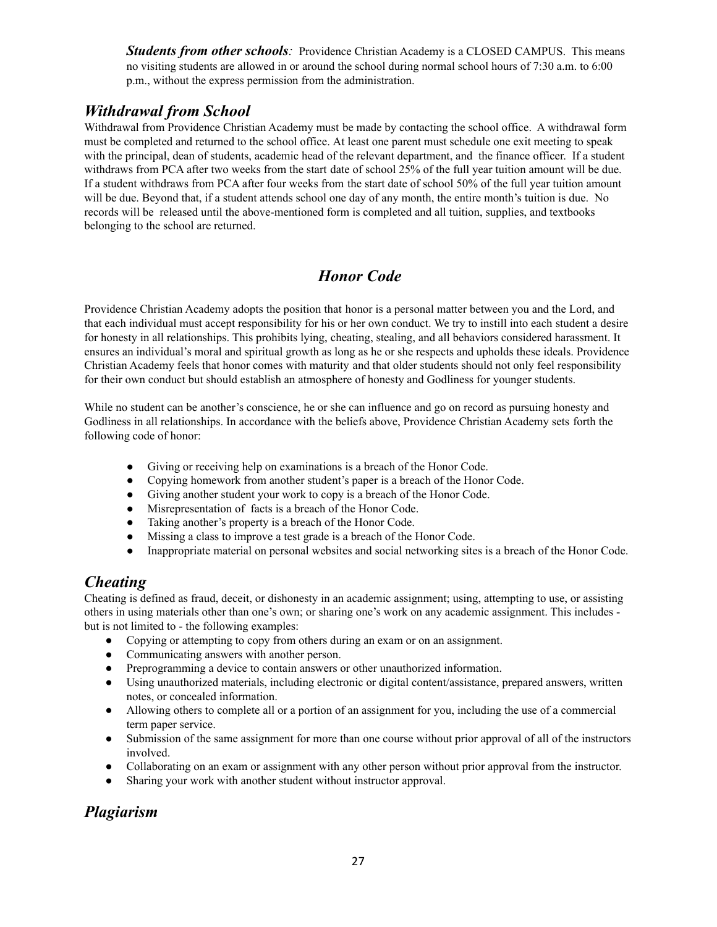**Students from other schools**: Providence Christian Academy is a CLOSED CAMPUS. This means no visiting students are allowed in or around the school during normal school hours of 7:30 a.m. to 6:00 p.m., without the express permission from the administration.

# *Withdrawal from School*

Withdrawal from Providence Christian Academy must be made by contacting the school office. A withdrawal form must be completed and returned to the school office. At least one parent must schedule one exit meeting to speak with the principal, dean of students, academic head of the relevant department, and the finance officer. If a student withdraws from PCA after two weeks from the start date of school 25% of the full year tuition amount will be due. If a student withdraws from PCA after four weeks from the start date of school 50% of the full year tuition amount will be due. Beyond that, if a student attends school one day of any month, the entire month's tuition is due. No records will be released until the above-mentioned form is completed and all tuition, supplies, and textbooks belonging to the school are returned.

# *Honor Code*

Providence Christian Academy adopts the position that honor is a personal matter between you and the Lord, and that each individual must accept responsibility for his or her own conduct. We try to instill into each student a desire for honesty in all relationships. This prohibits lying, cheating, stealing, and all behaviors considered harassment. It ensures an individual's moral and spiritual growth as long as he or she respects and upholds these ideals. Providence Christian Academy feels that honor comes with maturity and that older students should not only feel responsibility for their own conduct but should establish an atmosphere of honesty and Godliness for younger students.

While no student can be another's conscience, he or she can influence and go on record as pursuing honesty and Godliness in all relationships. In accordance with the beliefs above, Providence Christian Academy sets forth the following code of honor:

- Giving or receiving help on examinations is a breach of the Honor Code.
- Copying homework from another student's paper is a breach of the Honor Code.
- Giving another student your work to copy is a breach of the Honor Code.
- Misrepresentation of facts is a breach of the Honor Code.
- Taking another's property is a breach of the Honor Code.
- Missing a class to improve a test grade is a breach of the Honor Code.
- Inappropriate material on personal websites and social networking sites is a breach of the Honor Code.

# *Cheating*

Cheating is defined as fraud, deceit, or dishonesty in an academic assignment; using, attempting to use, or assisting others in using materials other than one's own; or sharing one's work on any academic assignment. This includes but is not limited to - the following examples:

- Copying or attempting to copy from others during an exam or on an assignment.
- Communicating answers with another person.
- Preprogramming a device to contain answers or other unauthorized information.
- Using unauthorized materials, including electronic or digital content/assistance, prepared answers, written notes, or concealed information.
- Allowing others to complete all or a portion of an assignment for you, including the use of a commercial term paper service.
- Submission of the same assignment for more than one course without prior approval of all of the instructors involved.
- Collaborating on an exam or assignment with any other person without prior approval from the instructor.
- Sharing your work with another student without instructor approval.

# *Plagiarism*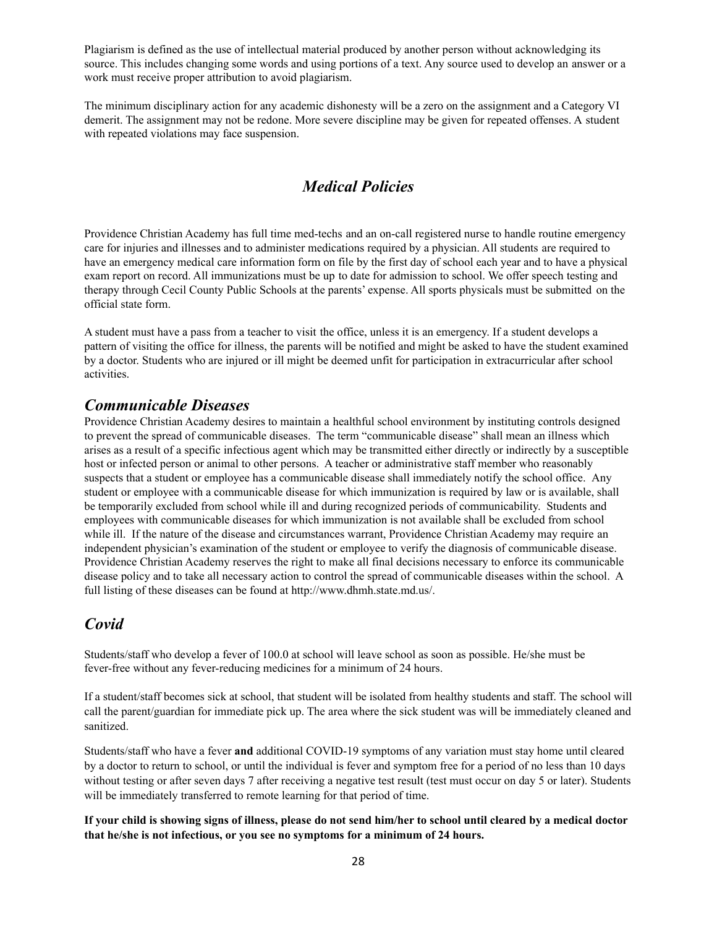Plagiarism is defined as the use of intellectual material produced by another person without acknowledging its source. This includes changing some words and using portions of a text. Any source used to develop an answer or a work must receive proper attribution to avoid plagiarism.

The minimum disciplinary action for any academic dishonesty will be a zero on the assignment and a Category VI demerit. The assignment may not be redone. More severe discipline may be given for repeated offenses. A student with repeated violations may face suspension.

### *Medical Policies*

Providence Christian Academy has full time med-techs and an on-call registered nurse to handle routine emergency care for injuries and illnesses and to administer medications required by a physician. All students are required to have an emergency medical care information form on file by the first day of school each year and to have a physical exam report on record. All immunizations must be up to date for admission to school. We offer speech testing and therapy through Cecil County Public Schools at the parents' expense. All sports physicals must be submitted on the official state form.

A student must have a pass from a teacher to visit the office, unless it is an emergency. If a student develops a pattern of visiting the office for illness, the parents will be notified and might be asked to have the student examined by a doctor. Students who are injured or ill might be deemed unfit for participation in extracurricular after school activities.

### *Communicable Diseases*

Providence Christian Academy desires to maintain a healthful school environment by instituting controls designed to prevent the spread of communicable diseases. The term "communicable disease" shall mean an illness which arises as a result of a specific infectious agent which may be transmitted either directly or indirectly by a susceptible host or infected person or animal to other persons. A teacher or administrative staff member who reasonably suspects that a student or employee has a communicable disease shall immediately notify the school office. Any student or employee with a communicable disease for which immunization is required by law or is available, shall be temporarily excluded from school while ill and during recognized periods of communicability. Students and employees with communicable diseases for which immunization is not available shall be excluded from school while ill. If the nature of the disease and circumstances warrant, Providence Christian Academy may require an independent physician's examination of the student or employee to verify the diagnosis of communicable disease. Providence Christian Academy reserves the right to make all final decisions necessary to enforce its communicable disease policy and to take all necessary action to control the spread of communicable diseases within the school. A full listing of these diseases can be found at http://www.dhmh.state.md.us/.

### *Covid*

Students/staff who develop a fever of 100.0 at school will leave school as soon as possible. He/she must be fever-free without any fever-reducing medicines for a minimum of 24 hours.

If a student/staff becomes sick at school, that student will be isolated from healthy students and staff. The school will call the parent/guardian for immediate pick up. The area where the sick student was will be immediately cleaned and sanitized.

Students/staff who have a fever **and** additional COVID-19 symptoms of any variation must stay home until cleared by a doctor to return to school, or until the individual is fever and symptom free for a period of no less than 10 days without testing or after seven days 7 after receiving a negative test result (test must occur on day 5 or later). Students will be immediately transferred to remote learning for that period of time.

#### If your child is showing signs of illness, please do not send him/her to school until cleared by a medical doctor **that he/she is not infectious, or you see no symptoms for a minimum of 24 hours.**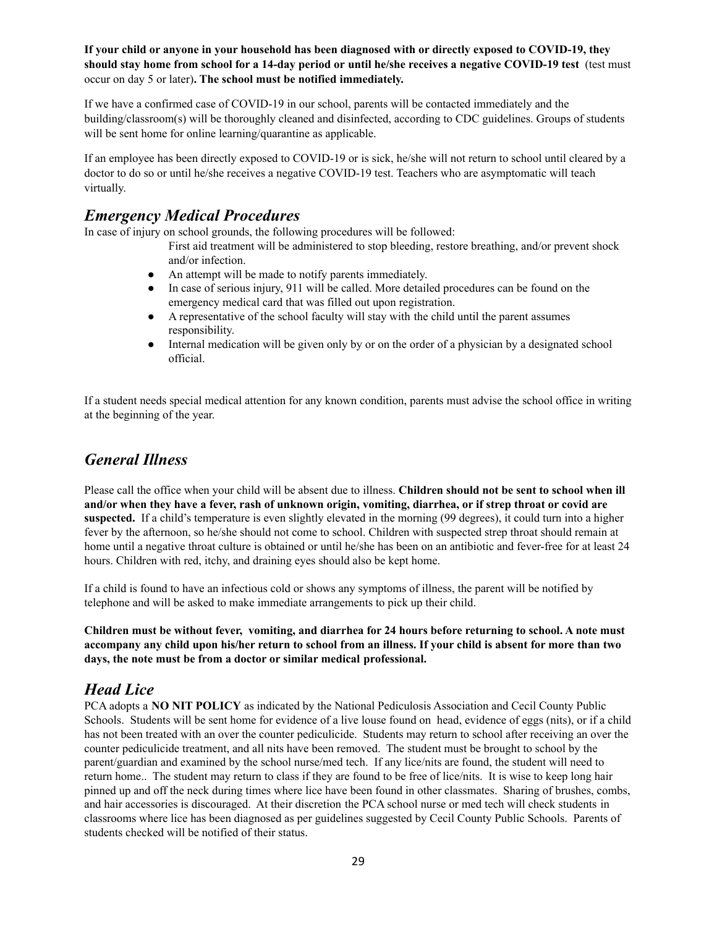If your child or anyone in your household has been diagnosed with or directly exposed to COVID-19, they should stay home from school for a 14-day period or until he/she receives a negative COVID-19 test (test must occur on day 5 or later)**. The school must be notified immediately.**

If we have a confirmed case of COVID-19 in our school, parents will be contacted immediately and the building/classroom(s) will be thoroughly cleaned and disinfected, according to CDC guidelines. Groups of students will be sent home for online learning/quarantine as applicable.

If an employee has been directly exposed to COVID-19 or is sick, he/she will not return to school until cleared by a doctor to do so or until he/she receives a negative COVID-19 test. Teachers who are asymptomatic will teach virtually.

### *Emergency Medical Procedures*

In case of injury on school grounds, the following procedures will be followed:

- First aid treatment will be administered to stop bleeding, restore breathing, and/or prevent shock and/or infection.
- An attempt will be made to notify parents immediately.
- In case of serious injury, 911 will be called. More detailed procedures can be found on the emergency medical card that was filled out upon registration.
- A representative of the school faculty will stay with the child until the parent assumes responsibility.
- Internal medication will be given only by or on the order of a physician by a designated school official.

If a student needs special medical attention for any known condition, parents must advise the school office in writing at the beginning of the year.

### *General Illness*

Please call the office when your child will be absent due to illness. **Children should not be sent to school when ill** and/or when they have a fever, rash of unknown origin, vomiting, diarrhea, or if strep throat or covid are **suspected.** If a child's temperature is even slightly elevated in the morning (99 degrees), it could turn into a higher fever by the afternoon, so he/she should not come to school. Children with suspected strep throat should remain at home until a negative throat culture is obtained or until he/she has been on an antibiotic and fever-free for at least 24 hours. Children with red, itchy, and draining eyes should also be kept home.

If a child is found to have an infectious cold or shows any symptoms of illness, the parent will be notified by telephone and will be asked to make immediate arrangements to pick up their child.

Children must be without fever, vomiting, and diarrhea for 24 hours before returning to school. A note must accompany any child upon his/her return to school from an illness. If your child is absent for more than two **days, the note must be from a doctor or similar medical professional.**

# *Head Lice*

PCA adopts a **NO NIT POLICY** as indicated by the National Pediculosis Association and Cecil County Public Schools. Students will be sent home for evidence of a live louse found on head, evidence of eggs (nits), or if a child has not been treated with an over the counter pediculicide. Students may return to school after receiving an over the counter pediculicide treatment, and all nits have been removed. The student must be brought to school by the parent/guardian and examined by the school nurse/med tech. If any lice/nits are found, the student will need to return home.. The student may return to class if they are found to be free of lice/nits. It is wise to keep long hair pinned up and off the neck during times where lice have been found in other classmates. Sharing of brushes, combs, and hair accessories is discouraged. At their discretion the PCA school nurse or med tech will check students in classrooms where lice has been diagnosed as per guidelines suggested by Cecil County Public Schools. Parents of students checked will be notified of their status.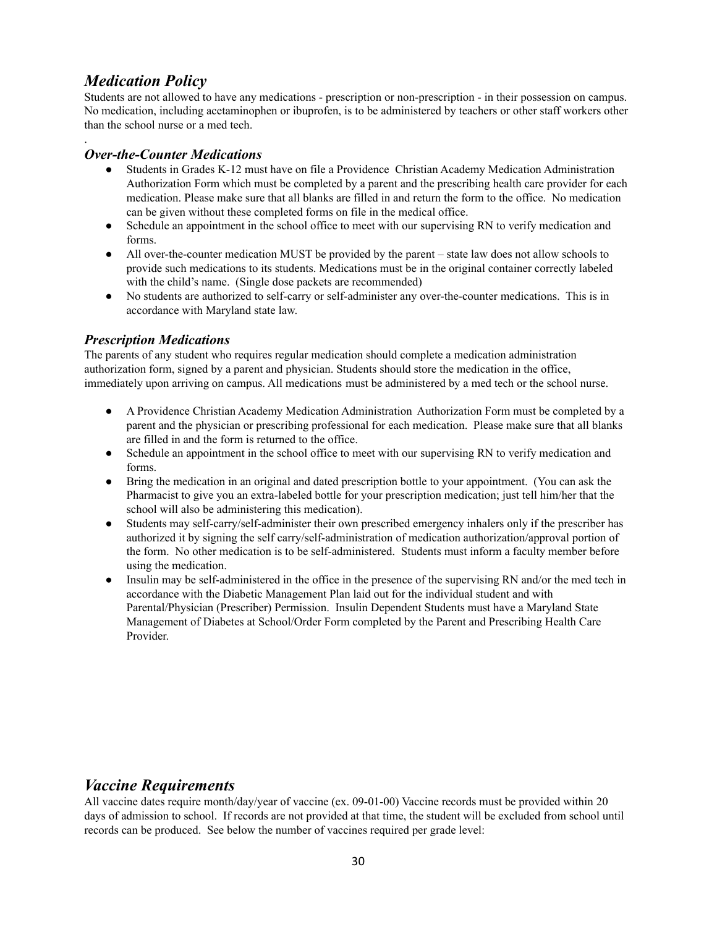## *Medication Policy*

.

Students are not allowed to have any medications - prescription or non-prescription - in their possession on campus. No medication, including acetaminophen or ibuprofen, is to be administered by teachers or other staff workers other than the school nurse or a med tech.

#### *Over-the-Counter Medications*

- Students in Grades K-12 must have on file a Providence Christian Academy Medication Administration Authorization Form which must be completed by a parent and the prescribing health care provider for each medication. Please make sure that all blanks are filled in and return the form to the office. No medication can be given without these completed forms on file in the medical office.
- Schedule an appointment in the school office to meet with our supervising RN to verify medication and forms.
- All over-the-counter medication MUST be provided by the parent state law does not allow schools to provide such medications to its students. Medications must be in the original container correctly labeled with the child's name. (Single dose packets are recommended)
- No students are authorized to self-carry or self-administer any over-the-counter medications. This is in accordance with Maryland state law.

#### *Prescription Medications*

The parents of any student who requires regular medication should complete a medication administration authorization form, signed by a parent and physician. Students should store the medication in the office, immediately upon arriving on campus. All medications must be administered by a med tech or the school nurse.

- A Providence Christian Academy Medication Administration Authorization Form must be completed by a parent and the physician or prescribing professional for each medication. Please make sure that all blanks are filled in and the form is returned to the office.
- Schedule an appointment in the school office to meet with our supervising RN to verify medication and forms.
- Bring the medication in an original and dated prescription bottle to your appointment. (You can ask the Pharmacist to give you an extra-labeled bottle for your prescription medication; just tell him/her that the school will also be administering this medication).
- Students may self-carry/self-administer their own prescribed emergency inhalers only if the prescriber has authorized it by signing the self carry/self-administration of medication authorization/approval portion of the form. No other medication is to be self-administered. Students must inform a faculty member before using the medication.
- Insulin may be self-administered in the office in the presence of the supervising RN and/or the med tech in accordance with the Diabetic Management Plan laid out for the individual student and with Parental/Physician (Prescriber) Permission. Insulin Dependent Students must have a Maryland State Management of Diabetes at School/Order Form completed by the Parent and Prescribing Health Care Provider.

# *Vaccine Requirements*

All vaccine dates require month/day/year of vaccine (ex. 09-01-00) Vaccine records must be provided within 20 days of admission to school. If records are not provided at that time, the student will be excluded from school until records can be produced. See below the number of vaccines required per grade level: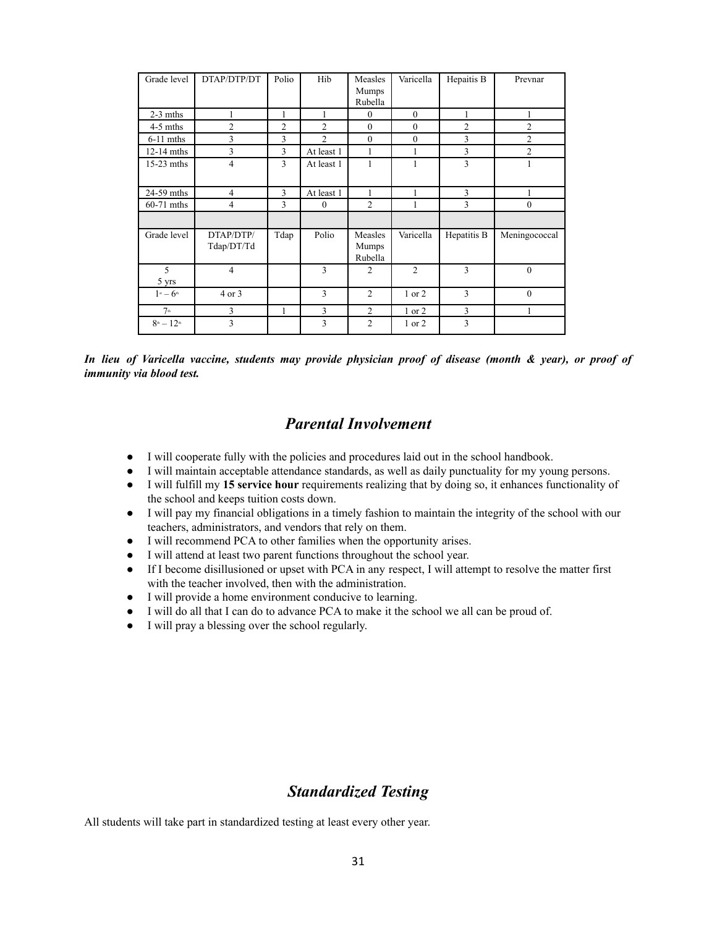| Grade level                      | DTAP/DTP/DT             | Polio          | Hib            | Measles<br>Mumps            | Varicella      | Hepaitis B  | Prevnar        |
|----------------------------------|-------------------------|----------------|----------------|-----------------------------|----------------|-------------|----------------|
|                                  |                         |                |                | Rubella                     |                |             |                |
| $2-3$ mths                       | 1                       | 1              | 1              | $\mathbf{0}$                | $\theta$       | 1           | 1              |
| $4-5$ mths                       | 2                       | $\overline{c}$ | $\overline{2}$ | $\mathbf{0}$                | $\mathbf{0}$   | 2           | 2              |
| $6-11$ mths                      | 3                       | 3              | $\overline{2}$ | $\mathbf{0}$                | $\mathbf{0}$   | 3           | $\overline{2}$ |
| $12-14$ mths                     | 3                       | 3              | At least 1     | 1                           | 1              | 3           | $\overline{2}$ |
| $15-23$ mths                     | $\overline{4}$          | 3              | At least 1     | 1                           | 1              | 3           | 1              |
| 24-59 mths                       | $\overline{4}$          | 3              | At least 1     | 1                           | 1              | 3           | 1              |
| 60-71 mths                       | 4                       | 3              | $\mathbf{0}$   | $\overline{2}$              | 1              | 3           | $\mathbf{0}$   |
|                                  |                         |                |                |                             |                |             |                |
| Grade level                      | DTAP/DTP/<br>Tdap/DT/Td | Tdap           | Polio          | Measles<br>Mumps<br>Rubella | Varicella      | Hepatitis B | Meningococcal  |
| 5<br>5 yrs                       | $\overline{4}$          |                | 3              | $\overline{2}$              | $\overline{2}$ | 3           | $\theta$       |
| $1$ st — $6$ <sup>th</sup>       | 4 or 3                  |                | 3              | $\overline{c}$              | $1$ or $2$     | 3           | $\theta$       |
| 7 <sup>th</sup>                  | 3                       | 1              | 3              | $\overline{c}$              | 1 or 2         | 3           | 1              |
| $8^{\text{th}} - 12^{\text{th}}$ | 3                       |                | 3              | $\overline{2}$              | 1 or 2         | 3           |                |

In lieu of Varicella vaccine, students may provide physician proof of disease (month & year), or proof of *immunity via blood test.*

### *Parental Involvement*

- I will cooperate fully with the policies and procedures laid out in the school handbook.
- I will maintain acceptable attendance standards, as well as daily punctuality for my young persons.
- I will fulfill my **15 service hour** requirements realizing that by doing so, it enhances functionality of the school and keeps tuition costs down.
- I will pay my financial obligations in a timely fashion to maintain the integrity of the school with our teachers, administrators, and vendors that rely on them.
- I will recommend PCA to other families when the opportunity arises.
- I will attend at least two parent functions throughout the school year.
- If I become disillusioned or upset with PCA in any respect, I will attempt to resolve the matter first with the teacher involved, then with the administration.
- I will provide a home environment conducive to learning.
- I will do all that I can do to advance PCA to make it the school we all can be proud of.
- I will pray a blessing over the school regularly.

### *Standardized Testing*

All students will take part in standardized testing at least every other year.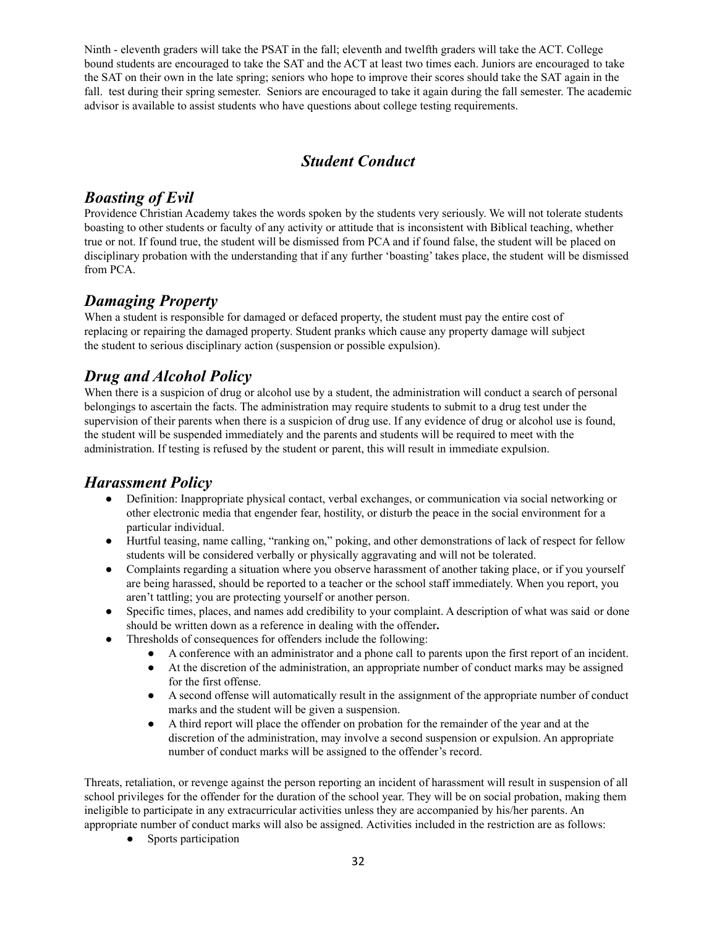Ninth - eleventh graders will take the PSAT in the fall; eleventh and twelfth graders will take the ACT. College bound students are encouraged to take the SAT and the ACT at least two times each. Juniors are encouraged to take the SAT on their own in the late spring; seniors who hope to improve their scores should take the SAT again in the fall. test during their spring semester. Seniors are encouraged to take it again during the fall semester. The academic advisor is available to assist students who have questions about college testing requirements.

# *Student Conduct*

## *Boasting of Evil*

Providence Christian Academy takes the words spoken by the students very seriously. We will not tolerate students boasting to other students or faculty of any activity or attitude that is inconsistent with Biblical teaching, whether true or not. If found true, the student will be dismissed from PCA and if found false, the student will be placed on disciplinary probation with the understanding that if any further 'boasting' takes place, the student will be dismissed from PCA.

# *Damaging Property*

When a student is responsible for damaged or defaced property, the student must pay the entire cost of replacing or repairing the damaged property. Student pranks which cause any property damage will subject the student to serious disciplinary action (suspension or possible expulsion).

# *Drug and Alcohol Policy*

When there is a suspicion of drug or alcohol use by a student, the administration will conduct a search of personal belongings to ascertain the facts. The administration may require students to submit to a drug test under the supervision of their parents when there is a suspicion of drug use. If any evidence of drug or alcohol use is found, the student will be suspended immediately and the parents and students will be required to meet with the administration. If testing is refused by the student or parent, this will result in immediate expulsion.

### *Harassment Policy*

- Definition: Inappropriate physical contact, verbal exchanges, or communication via social networking or other electronic media that engender fear, hostility, or disturb the peace in the social environment for a particular individual.
- Hurtful teasing, name calling, "ranking on," poking, and other demonstrations of lack of respect for fellow students will be considered verbally or physically aggravating and will not be tolerated.
- Complaints regarding a situation where you observe harassment of another taking place, or if you yourself are being harassed, should be reported to a teacher or the school staff immediately. When you report, you aren't tattling; you are protecting yourself or another person.
- Specific times, places, and names add credibility to your complaint. A description of what was said or done should be written down as a reference in dealing with the offender**.**
- Thresholds of consequences for offenders include the following:
	- A conference with an administrator and a phone call to parents upon the first report of an incident.
	- At the discretion of the administration, an appropriate number of conduct marks may be assigned for the first offense.
	- A second offense will automatically result in the assignment of the appropriate number of conduct marks and the student will be given a suspension.
	- A third report will place the offender on probation for the remainder of the year and at the discretion of the administration, may involve a second suspension or expulsion. An appropriate number of conduct marks will be assigned to the offender's record.

Threats, retaliation, or revenge against the person reporting an incident of harassment will result in suspension of all school privileges for the offender for the duration of the school year. They will be on social probation, making them ineligible to participate in any extracurricular activities unless they are accompanied by his/her parents. An appropriate number of conduct marks will also be assigned. Activities included in the restriction are as follows:

• Sports participation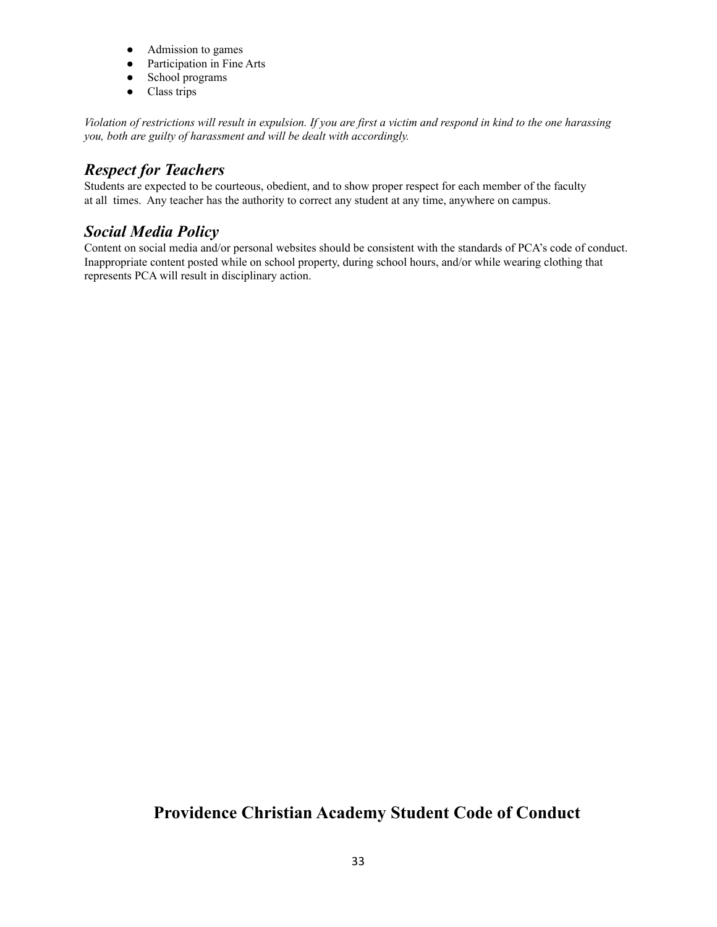- Admission to games
- Participation in Fine Arts
- School programs
- Class trips

Violation of restrictions will result in expulsion. If you are first a victim and respond in kind to the one harassing *you, both are guilty of harassment and will be dealt with accordingly.*

# *Respect for Teachers*

Students are expected to be courteous, obedient, and to show proper respect for each member of the faculty at all times. Any teacher has the authority to correct any student at any time, anywhere on campus.

## *Social Media Policy*

Content on social media and/or personal websites should be consistent with the standards of PCA's code of conduct. Inappropriate content posted while on school property, during school hours, and/or while wearing clothing that represents PCA will result in disciplinary action.

# **Providence Christian Academy Student Code of Conduct**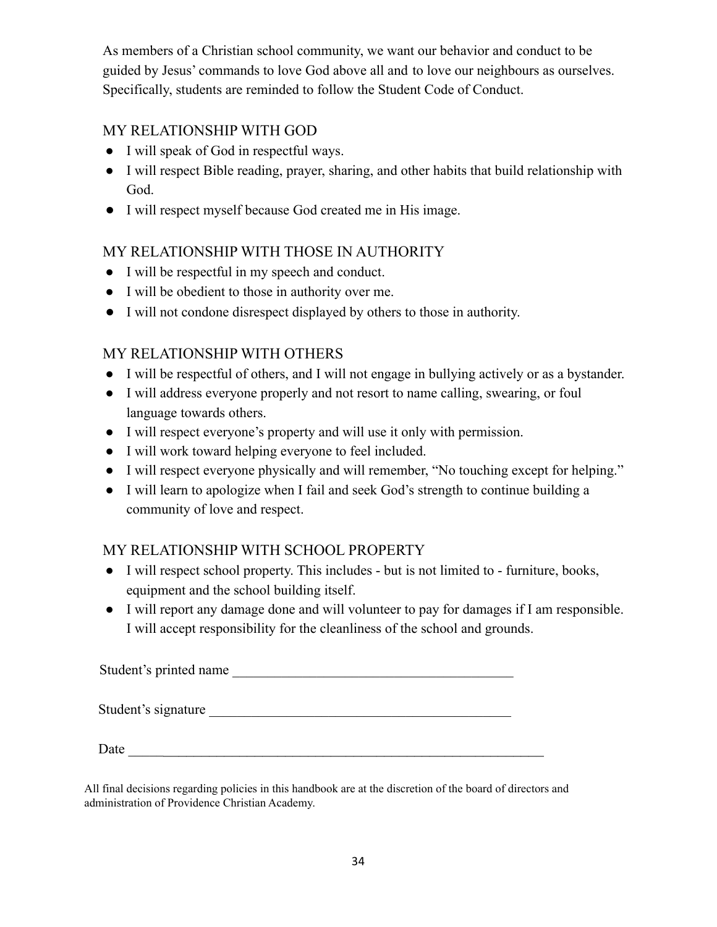As members of a Christian school community, we want our behavior and conduct to be guided by Jesus' commands to love God above all and to love our neighbours as ourselves. Specifically, students are reminded to follow the Student Code of Conduct.

# MY RELATIONSHIP WITH GOD

- I will speak of God in respectful ways.
- I will respect Bible reading, prayer, sharing, and other habits that build relationship with God.
- I will respect myself because God created me in His image.

# MY RELATIONSHIP WITH THOSE IN AUTHORITY

- I will be respectful in my speech and conduct.
- I will be obedient to those in authority over me.
- I will not condone disrespect displayed by others to those in authority.

# MY RELATIONSHIP WITH OTHERS

- I will be respectful of others, and I will not engage in bullying actively or as a bystander.
- I will address everyone properly and not resort to name calling, swearing, or foul language towards others.
- I will respect everyone's property and will use it only with permission.
- I will work toward helping everyone to feel included.
- I will respect everyone physically and will remember, "No touching except for helping."
- I will learn to apologize when I fail and seek God's strength to continue building a community of love and respect.

# MY RELATIONSHIP WITH SCHOOL PROPERTY

- I will respect school property. This includes but is not limited to furniture, books, equipment and the school building itself.
- I will report any damage done and will volunteer to pay for damages if I am responsible. I will accept responsibility for the cleanliness of the school and grounds.

Student's printed name Student's signature

Date  $\frac{1}{\sqrt{2}}$ 

All final decisions regarding policies in this handbook are at the discretion of the board of directors and administration of Providence Christian Academy.